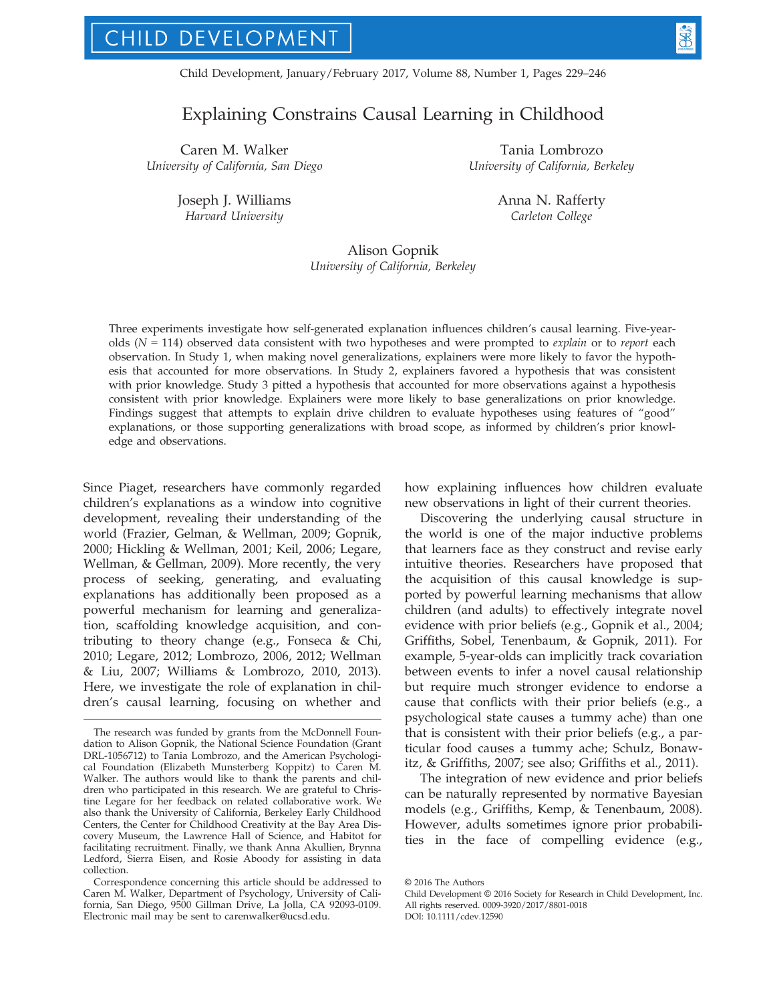Child Development, January/February 2017, Volume 88, Number 1, Pages 229–246

# Explaining Constrains Causal Learning in Childhood

Caren M. Walker University of California, San Diego

> Joseph J. Williams Harvard University

Tania Lombrozo University of California, Berkeley

> Anna N. Rafferty Carleton College

Alison Gopnik University of California, Berkeley

Three experiments investigate how self-generated explanation influences children's causal learning. Five-yearolds  $(N = 114)$  observed data consistent with two hypotheses and were prompted to *explain* or to *report* each observation. In Study 1, when making novel generalizations, explainers were more likely to favor the hypothesis that accounted for more observations. In Study 2, explainers favored a hypothesis that was consistent with prior knowledge. Study 3 pitted a hypothesis that accounted for more observations against a hypothesis consistent with prior knowledge. Explainers were more likely to base generalizations on prior knowledge. Findings suggest that attempts to explain drive children to evaluate hypotheses using features of "good" explanations, or those supporting generalizations with broad scope, as informed by children's prior knowledge and observations.

Since Piaget, researchers have commonly regarded children's explanations as a window into cognitive development, revealing their understanding of the world (Frazier, Gelman, & Wellman, 2009; Gopnik, 2000; Hickling & Wellman, 2001; Keil, 2006; Legare, Wellman, & Gellman, 2009). More recently, the very process of seeking, generating, and evaluating explanations has additionally been proposed as a powerful mechanism for learning and generalization, scaffolding knowledge acquisition, and contributing to theory change (e.g., Fonseca & Chi, 2010; Legare, 2012; Lombrozo, 2006, 2012; Wellman & Liu, 2007; Williams & Lombrozo, 2010, 2013). Here, we investigate the role of explanation in children's causal learning, focusing on whether and

how explaining influences how children evaluate new observations in light of their current theories.

Discovering the underlying causal structure in the world is one of the major inductive problems that learners face as they construct and revise early intuitive theories. Researchers have proposed that the acquisition of this causal knowledge is supported by powerful learning mechanisms that allow children (and adults) to effectively integrate novel evidence with prior beliefs (e.g., Gopnik et al., 2004; Griffiths, Sobel, Tenenbaum, & Gopnik, 2011). For example, 5-year-olds can implicitly track covariation between events to infer a novel causal relationship but require much stronger evidence to endorse a cause that conflicts with their prior beliefs (e.g., a psychological state causes a tummy ache) than one that is consistent with their prior beliefs (e.g., a particular food causes a tummy ache; Schulz, Bonawitz, & Griffiths, 2007; see also; Griffiths et al., 2011).

The integration of new evidence and prior beliefs can be naturally represented by normative Bayesian models (e.g., Griffiths, Kemp, & Tenenbaum, 2008). However, adults sometimes ignore prior probabilities in the face of compelling evidence (e.g.,

The research was funded by grants from the McDonnell Foundation to Alison Gopnik, the National Science Foundation (Grant DRL-1056712) to Tania Lombrozo, and the American Psychological Foundation (Elizabeth Munsterberg Koppitz) to Caren M. Walker. The authors would like to thank the parents and children who participated in this research. We are grateful to Christine Legare for her feedback on related collaborative work. We also thank the University of California, Berkeley Early Childhood Centers, the Center for Childhood Creativity at the Bay Area Discovery Museum, the Lawrence Hall of Science, and Habitot for facilitating recruitment. Finally, we thank Anna Akullien, Brynna Ledford, Sierra Eisen, and Rosie Aboody for assisting in data collection.

Correspondence concerning this article should be addressed to Caren M. Walker, Department of Psychology, University of California, San Diego, 9500 Gillman Drive, La Jolla, CA 92093-0109. Electronic mail may be sent to carenwalker@ucsd.edu.

<sup>©</sup> 2016 The Authors

Child Development © 2016 Society for Research in Child Development, Inc. All rights reserved. 0009-3920/2017/8801-0018 DOI: 10.1111/cdev.12590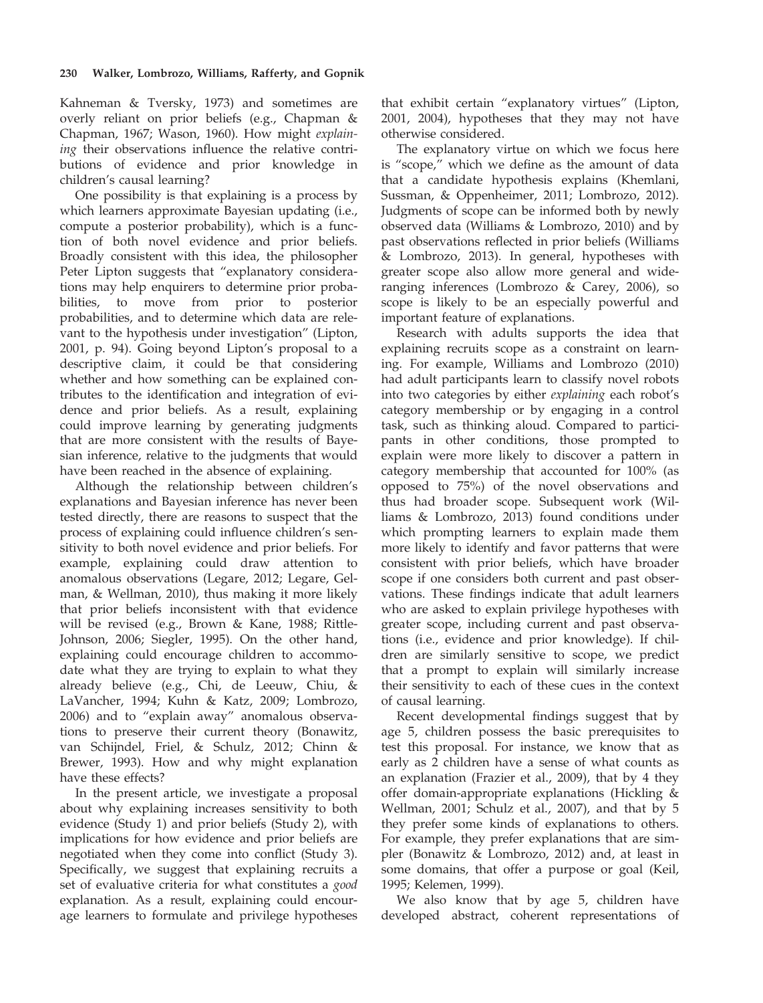Kahneman & Tversky, 1973) and sometimes are overly reliant on prior beliefs (e.g., Chapman & Chapman, 1967; Wason, 1960). How might explaining their observations influence the relative contributions of evidence and prior knowledge in children's causal learning?

One possibility is that explaining is a process by which learners approximate Bayesian updating (i.e., compute a posterior probability), which is a function of both novel evidence and prior beliefs. Broadly consistent with this idea, the philosopher Peter Lipton suggests that "explanatory considerations may help enquirers to determine prior probabilities, to move from prior to posterior probabilities, and to determine which data are relevant to the hypothesis under investigation" (Lipton, 2001, p. 94). Going beyond Lipton's proposal to a descriptive claim, it could be that considering whether and how something can be explained contributes to the identification and integration of evidence and prior beliefs. As a result, explaining could improve learning by generating judgments that are more consistent with the results of Bayesian inference, relative to the judgments that would have been reached in the absence of explaining.

Although the relationship between children's explanations and Bayesian inference has never been tested directly, there are reasons to suspect that the process of explaining could influence children's sensitivity to both novel evidence and prior beliefs. For example, explaining could draw attention to anomalous observations (Legare, 2012; Legare, Gelman, & Wellman, 2010), thus making it more likely that prior beliefs inconsistent with that evidence will be revised (e.g., Brown & Kane, 1988; Rittle-Johnson, 2006; Siegler, 1995). On the other hand, explaining could encourage children to accommodate what they are trying to explain to what they already believe (e.g., Chi, de Leeuw, Chiu, & LaVancher, 1994; Kuhn & Katz, 2009; Lombrozo, 2006) and to "explain away" anomalous observations to preserve their current theory (Bonawitz, van Schijndel, Friel, & Schulz, 2012; Chinn & Brewer, 1993). How and why might explanation have these effects?

In the present article, we investigate a proposal about why explaining increases sensitivity to both evidence (Study 1) and prior beliefs (Study 2), with implications for how evidence and prior beliefs are negotiated when they come into conflict (Study 3). Specifically, we suggest that explaining recruits a set of evaluative criteria for what constitutes a good explanation. As a result, explaining could encourage learners to formulate and privilege hypotheses that exhibit certain "explanatory virtues" (Lipton, 2001, 2004), hypotheses that they may not have otherwise considered.

The explanatory virtue on which we focus here is "scope," which we define as the amount of data that a candidate hypothesis explains (Khemlani, Sussman, & Oppenheimer, 2011; Lombrozo, 2012). Judgments of scope can be informed both by newly observed data (Williams & Lombrozo, 2010) and by past observations reflected in prior beliefs (Williams & Lombrozo, 2013). In general, hypotheses with greater scope also allow more general and wideranging inferences (Lombrozo & Carey, 2006), so scope is likely to be an especially powerful and important feature of explanations.

Research with adults supports the idea that explaining recruits scope as a constraint on learning. For example, Williams and Lombrozo (2010) had adult participants learn to classify novel robots into two categories by either explaining each robot's category membership or by engaging in a control task, such as thinking aloud. Compared to participants in other conditions, those prompted to explain were more likely to discover a pattern in category membership that accounted for 100% (as opposed to 75%) of the novel observations and thus had broader scope. Subsequent work (Williams & Lombrozo, 2013) found conditions under which prompting learners to explain made them more likely to identify and favor patterns that were consistent with prior beliefs, which have broader scope if one considers both current and past observations. These findings indicate that adult learners who are asked to explain privilege hypotheses with greater scope, including current and past observations (i.e., evidence and prior knowledge). If children are similarly sensitive to scope, we predict that a prompt to explain will similarly increase their sensitivity to each of these cues in the context of causal learning.

Recent developmental findings suggest that by age 5, children possess the basic prerequisites to test this proposal. For instance, we know that as early as 2 children have a sense of what counts as an explanation (Frazier et al., 2009), that by 4 they offer domain-appropriate explanations (Hickling & Wellman, 2001; Schulz et al., 2007), and that by 5 they prefer some kinds of explanations to others. For example, they prefer explanations that are simpler (Bonawitz & Lombrozo, 2012) and, at least in some domains, that offer a purpose or goal (Keil, 1995; Kelemen, 1999).

We also know that by age 5, children have developed abstract, coherent representations of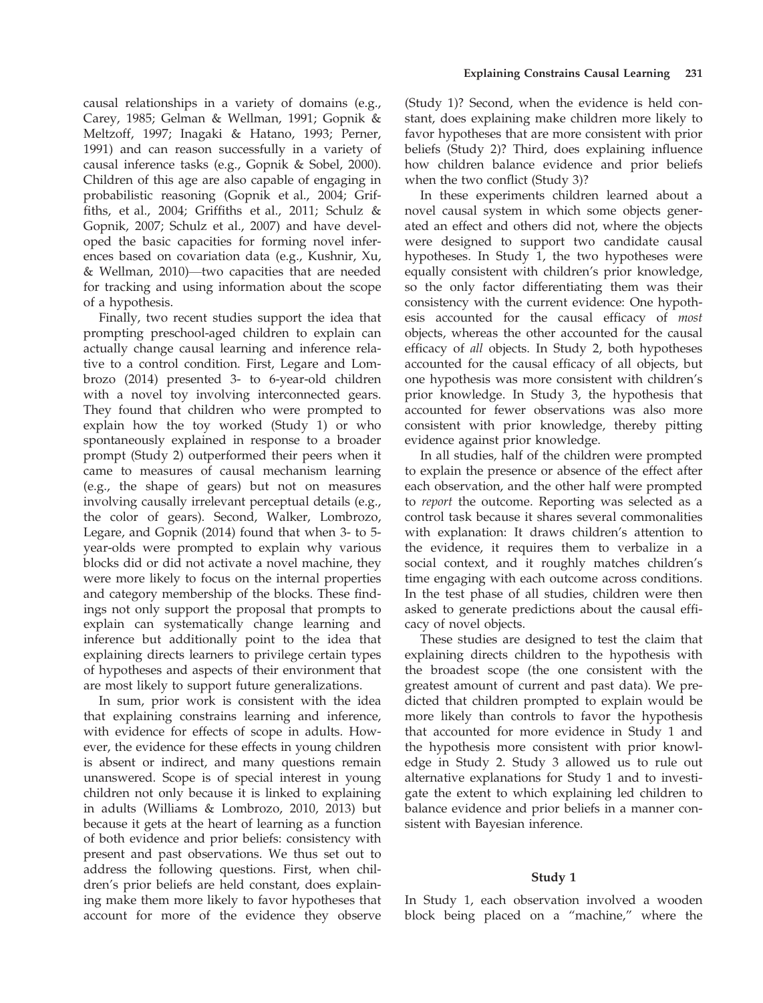causal relationships in a variety of domains (e.g., Carey, 1985; Gelman & Wellman, 1991; Gopnik & Meltzoff, 1997; Inagaki & Hatano, 1993; Perner, 1991) and can reason successfully in a variety of causal inference tasks (e.g., Gopnik & Sobel, 2000). Children of this age are also capable of engaging in probabilistic reasoning (Gopnik et al., 2004; Griffiths, et al., 2004; Griffiths et al., 2011; Schulz & Gopnik, 2007; Schulz et al., 2007) and have developed the basic capacities for forming novel inferences based on covariation data (e.g., Kushnir, Xu, & Wellman, 2010)—two capacities that are needed for tracking and using information about the scope of a hypothesis.

Finally, two recent studies support the idea that prompting preschool-aged children to explain can actually change causal learning and inference relative to a control condition. First, Legare and Lombrozo (2014) presented 3- to 6-year-old children with a novel toy involving interconnected gears. They found that children who were prompted to explain how the toy worked (Study 1) or who spontaneously explained in response to a broader prompt (Study 2) outperformed their peers when it came to measures of causal mechanism learning (e.g., the shape of gears) but not on measures involving causally irrelevant perceptual details (e.g., the color of gears). Second, Walker, Lombrozo, Legare, and Gopnik (2014) found that when 3- to 5 year-olds were prompted to explain why various blocks did or did not activate a novel machine, they were more likely to focus on the internal properties and category membership of the blocks. These findings not only support the proposal that prompts to explain can systematically change learning and inference but additionally point to the idea that explaining directs learners to privilege certain types of hypotheses and aspects of their environment that are most likely to support future generalizations.

In sum, prior work is consistent with the idea that explaining constrains learning and inference, with evidence for effects of scope in adults. However, the evidence for these effects in young children is absent or indirect, and many questions remain unanswered. Scope is of special interest in young children not only because it is linked to explaining in adults (Williams & Lombrozo, 2010, 2013) but because it gets at the heart of learning as a function of both evidence and prior beliefs: consistency with present and past observations. We thus set out to address the following questions. First, when children's prior beliefs are held constant, does explaining make them more likely to favor hypotheses that account for more of the evidence they observe

(Study 1)? Second, when the evidence is held constant, does explaining make children more likely to favor hypotheses that are more consistent with prior beliefs (Study 2)? Third, does explaining influence how children balance evidence and prior beliefs when the two conflict (Study 3)?

In these experiments children learned about a novel causal system in which some objects generated an effect and others did not, where the objects were designed to support two candidate causal hypotheses. In Study 1, the two hypotheses were equally consistent with children's prior knowledge, so the only factor differentiating them was their consistency with the current evidence: One hypothesis accounted for the causal efficacy of most objects, whereas the other accounted for the causal efficacy of all objects. In Study 2, both hypotheses accounted for the causal efficacy of all objects, but one hypothesis was more consistent with children's prior knowledge. In Study 3, the hypothesis that accounted for fewer observations was also more consistent with prior knowledge, thereby pitting evidence against prior knowledge.

In all studies, half of the children were prompted to explain the presence or absence of the effect after each observation, and the other half were prompted to report the outcome. Reporting was selected as a control task because it shares several commonalities with explanation: It draws children's attention to the evidence, it requires them to verbalize in a social context, and it roughly matches children's time engaging with each outcome across conditions. In the test phase of all studies, children were then asked to generate predictions about the causal efficacy of novel objects.

These studies are designed to test the claim that explaining directs children to the hypothesis with the broadest scope (the one consistent with the greatest amount of current and past data). We predicted that children prompted to explain would be more likely than controls to favor the hypothesis that accounted for more evidence in Study 1 and the hypothesis more consistent with prior knowledge in Study 2. Study 3 allowed us to rule out alternative explanations for Study 1 and to investigate the extent to which explaining led children to balance evidence and prior beliefs in a manner consistent with Bayesian inference.

## Study 1

In Study 1, each observation involved a wooden block being placed on a "machine," where the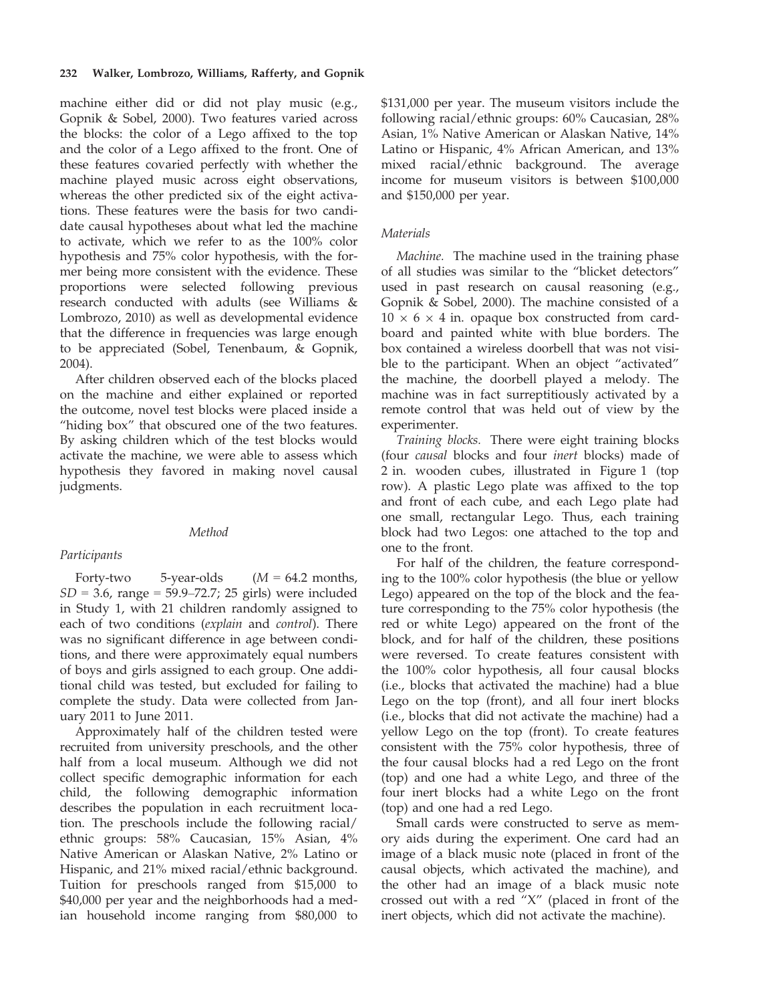machine either did or did not play music (e.g., Gopnik & Sobel, 2000). Two features varied across the blocks: the color of a Lego affixed to the top and the color of a Lego affixed to the front. One of these features covaried perfectly with whether the machine played music across eight observations, whereas the other predicted six of the eight activations. These features were the basis for two candidate causal hypotheses about what led the machine to activate, which we refer to as the 100% color hypothesis and 75% color hypothesis, with the former being more consistent with the evidence. These proportions were selected following previous research conducted with adults (see Williams & Lombrozo, 2010) as well as developmental evidence that the difference in frequencies was large enough to be appreciated (Sobel, Tenenbaum, & Gopnik, 2004).

After children observed each of the blocks placed on the machine and either explained or reported the outcome, novel test blocks were placed inside a "hiding box" that obscured one of the two features. By asking children which of the test blocks would activate the machine, we were able to assess which hypothesis they favored in making novel causal judgments.

#### Method

# Participants

Forty-two  $5$ -year-olds  $(M = 64.2 \text{ months})$  $SD = 3.6$ , range = 59.9–72.7; 25 girls) were included in Study 1, with 21 children randomly assigned to each of two conditions (explain and control). There was no significant difference in age between conditions, and there were approximately equal numbers of boys and girls assigned to each group. One additional child was tested, but excluded for failing to complete the study. Data were collected from January 2011 to June 2011.

Approximately half of the children tested were recruited from university preschools, and the other half from a local museum. Although we did not collect specific demographic information for each child, the following demographic information describes the population in each recruitment location. The preschools include the following racial/ ethnic groups: 58% Caucasian, 15% Asian, 4% Native American or Alaskan Native, 2% Latino or Hispanic, and 21% mixed racial/ethnic background. Tuition for preschools ranged from \$15,000 to \$40,000 per year and the neighborhoods had a median household income ranging from \$80,000 to

\$131,000 per year. The museum visitors include the following racial/ethnic groups: 60% Caucasian, 28% Asian, 1% Native American or Alaskan Native, 14% Latino or Hispanic, 4% African American, and 13% mixed racial/ethnic background. The average income for museum visitors is between \$100,000 and \$150,000 per year.

## Materials

Machine. The machine used in the training phase of all studies was similar to the "blicket detectors" used in past research on causal reasoning (e.g., Gopnik & Sobel, 2000). The machine consisted of a  $10 \times 6 \times 4$  in. opaque box constructed from cardboard and painted white with blue borders. The box contained a wireless doorbell that was not visible to the participant. When an object "activated" the machine, the doorbell played a melody. The machine was in fact surreptitiously activated by a remote control that was held out of view by the experimenter.

Training blocks. There were eight training blocks (four causal blocks and four inert blocks) made of 2 in. wooden cubes, illustrated in Figure 1 (top row). A plastic Lego plate was affixed to the top and front of each cube, and each Lego plate had one small, rectangular Lego. Thus, each training block had two Legos: one attached to the top and one to the front.

For half of the children, the feature corresponding to the 100% color hypothesis (the blue or yellow Lego) appeared on the top of the block and the feature corresponding to the 75% color hypothesis (the red or white Lego) appeared on the front of the block, and for half of the children, these positions were reversed. To create features consistent with the 100% color hypothesis, all four causal blocks (i.e., blocks that activated the machine) had a blue Lego on the top (front), and all four inert blocks (i.e., blocks that did not activate the machine) had a yellow Lego on the top (front). To create features consistent with the 75% color hypothesis, three of the four causal blocks had a red Lego on the front (top) and one had a white Lego, and three of the four inert blocks had a white Lego on the front (top) and one had a red Lego.

Small cards were constructed to serve as memory aids during the experiment. One card had an image of a black music note (placed in front of the causal objects, which activated the machine), and the other had an image of a black music note crossed out with a red "X" (placed in front of the inert objects, which did not activate the machine).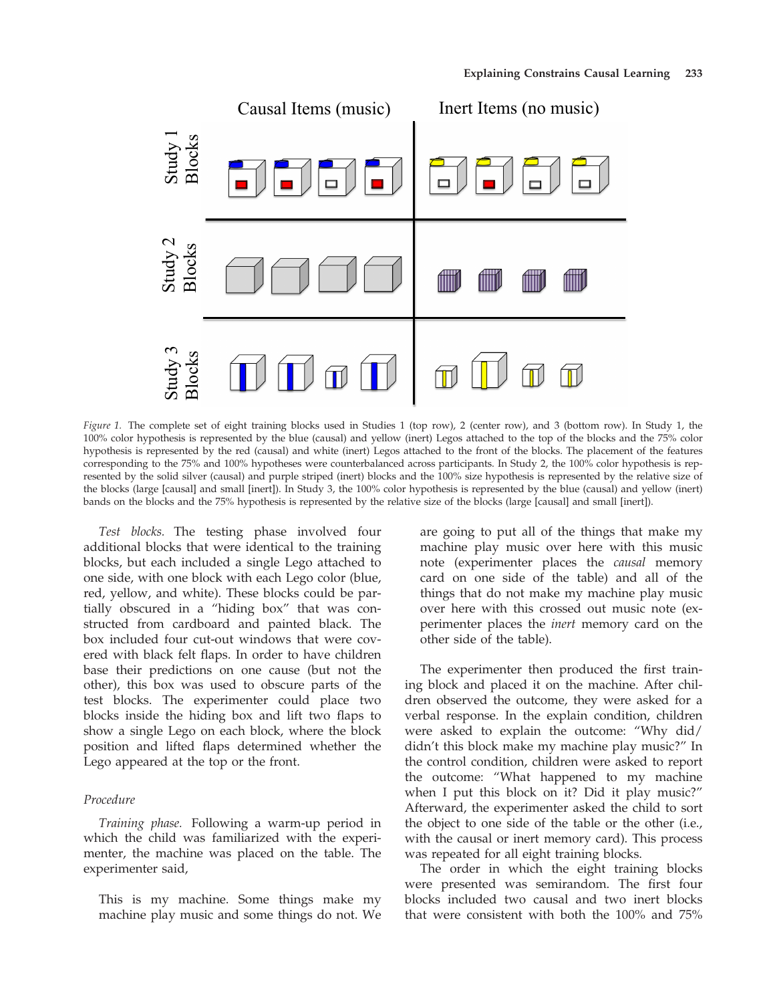

Figure 1. The complete set of eight training blocks used in Studies 1 (top row), 2 (center row), and 3 (bottom row). In Study 1, the 100% color hypothesis is represented by the blue (causal) and yellow (inert) Legos attached to the top of the blocks and the 75% color hypothesis is represented by the red (causal) and white (inert) Legos attached to the front of the blocks. The placement of the features corresponding to the 75% and 100% hypotheses were counterbalanced across participants. In Study 2, the 100% color hypothesis is represented by the solid silver (causal) and purple striped (inert) blocks and the 100% size hypothesis is represented by the relative size of the blocks (large [causal] and small [inert]). In Study 3, the 100% color hypothesis is represented by the blue (causal) and yellow (inert) bands on the blocks and the 75% hypothesis is represented by the relative size of the blocks (large [causal] and small [inert]).

Test blocks. The testing phase involved four additional blocks that were identical to the training blocks, but each included a single Lego attached to one side, with one block with each Lego color (blue, red, yellow, and white). These blocks could be partially obscured in a "hiding box" that was constructed from cardboard and painted black. The box included four cut-out windows that were covered with black felt flaps. In order to have children base their predictions on one cause (but not the other), this box was used to obscure parts of the test blocks. The experimenter could place two blocks inside the hiding box and lift two flaps to show a single Lego on each block, where the block position and lifted flaps determined whether the Lego appeared at the top or the front.

## Procedure

Training phase. Following a warm-up period in which the child was familiarized with the experimenter, the machine was placed on the table. The experimenter said,

This is my machine. Some things make my machine play music and some things do not. We are going to put all of the things that make my machine play music over here with this music note (experimenter places the causal memory card on one side of the table) and all of the things that do not make my machine play music over here with this crossed out music note (experimenter places the inert memory card on the other side of the table).

The experimenter then produced the first training block and placed it on the machine. After children observed the outcome, they were asked for a verbal response. In the explain condition, children were asked to explain the outcome: "Why did/ didn't this block make my machine play music?" In the control condition, children were asked to report the outcome: "What happened to my machine when I put this block on it? Did it play music?" Afterward, the experimenter asked the child to sort the object to one side of the table or the other (i.e., with the causal or inert memory card). This process was repeated for all eight training blocks.

The order in which the eight training blocks were presented was semirandom. The first four blocks included two causal and two inert blocks that were consistent with both the 100% and 75%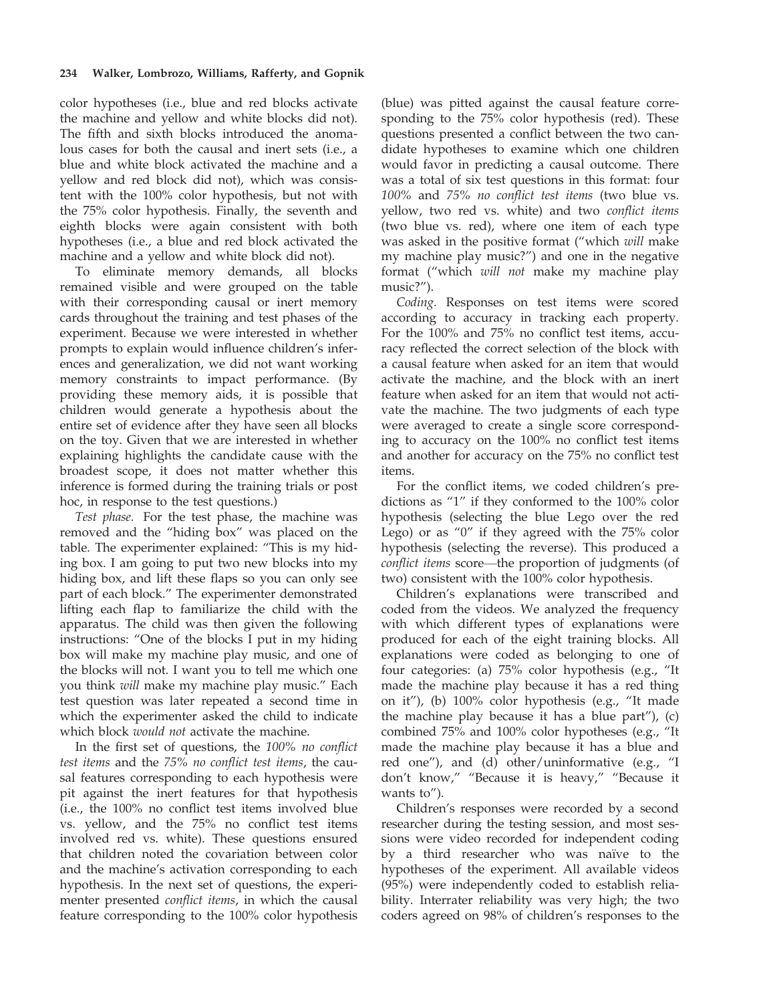color hypotheses (i.e., blue and red blocks activate the machine and yellow and white blocks did not). The fifth and sixth blocks introduced the anomalous cases for both the causal and inert sets (i.e., a blue and white block activated the machine and a yellow and red block did not), which was consistent with the 100% color hypothesis, but not with the 75% color hypothesis. Finally, the seventh and eighth blocks were again consistent with both hypotheses (i.e., a blue and red block activated the machine and a yellow and white block did not).

To eliminate memory demands, all blocks remained visible and were grouped on the table with their corresponding causal or inert memory cards throughout the training and test phases of the experiment. Because we were interested in whether prompts to explain would influence children's inferences and generalization, we did not want working memory constraints to impact performance. (By providing these memory aids, it is possible that children would generate a hypothesis about the entire set of evidence after they have seen all blocks on the toy. Given that we are interested in whether explaining highlights the candidate cause with the broadest scope, it does not matter whether this inference is formed during the training trials or post hoc, in response to the test questions.)

Test phase. For the test phase, the machine was removed and the "hiding box" was placed on the table. The experimenter explained: "This is my hiding box. I am going to put two new blocks into my hiding box, and lift these flaps so you can only see part of each block." The experimenter demonstrated lifting each flap to familiarize the child with the apparatus. The child was then given the following instructions: "One of the blocks I put in my hiding box will make my machine play music, and one of the blocks will not. I want you to tell me which one you think will make my machine play music." Each test question was later repeated a second time in which the experimenter asked the child to indicate which block *would not* activate the machine.

In the first set of questions, the 100% no conflict test items and the 75% no conflict test items, the causal features corresponding to each hypothesis were pit against the inert features for that hypothesis (i.e., the 100% no conflict test items involved blue vs. yellow, and the 75% no conflict test items involved red vs. white). These questions ensured that children noted the covariation between color and the machine's activation corresponding to each hypothesis. In the next set of questions, the experimenter presented conflict items, in which the causal feature corresponding to the 100% color hypothesis

(blue) was pitted against the causal feature corresponding to the 75% color hypothesis (red). These questions presented a conflict between the two candidate hypotheses to examine which one children would favor in predicting a causal outcome. There was a total of six test questions in this format: four 100% and 75% no conflict test items (two blue vs. yellow, two red vs. white) and two conflict items (two blue vs. red), where one item of each type was asked in the positive format ("which will make my machine play music?") and one in the negative format ("which will not make my machine play music?").

Coding. Responses on test items were scored according to accuracy in tracking each property. For the 100% and 75% no conflict test items, accuracy reflected the correct selection of the block with a causal feature when asked for an item that would activate the machine, and the block with an inert feature when asked for an item that would not activate the machine. The two judgments of each type were averaged to create a single score corresponding to accuracy on the 100% no conflict test items and another for accuracy on the 75% no conflict test items.

For the conflict items, we coded children's predictions as "1" if they conformed to the 100% color hypothesis (selecting the blue Lego over the red Lego) or as "0" if they agreed with the 75% color hypothesis (selecting the reverse). This produced a conflict items score—the proportion of judgments (of two) consistent with the 100% color hypothesis.

Children's explanations were transcribed and coded from the videos. We analyzed the frequency with which different types of explanations were produced for each of the eight training blocks. All explanations were coded as belonging to one of four categories: (a) 75% color hypothesis (e.g., "It made the machine play because it has a red thing on it"), (b) 100% color hypothesis (e.g., "It made the machine play because it has a blue part"), (c) combined 75% and 100% color hypotheses (e.g., "It made the machine play because it has a blue and red one"), and (d) other/uninformative (e.g., "I don't know," "Because it is heavy," "Because it wants to").

Children's responses were recorded by a second researcher during the testing session, and most sessions were video recorded for independent coding by a third researcher who was naïve to the hypotheses of the experiment. All available videos (95%) were independently coded to establish reliability. Interrater reliability was very high; the two coders agreed on 98% of children's responses to the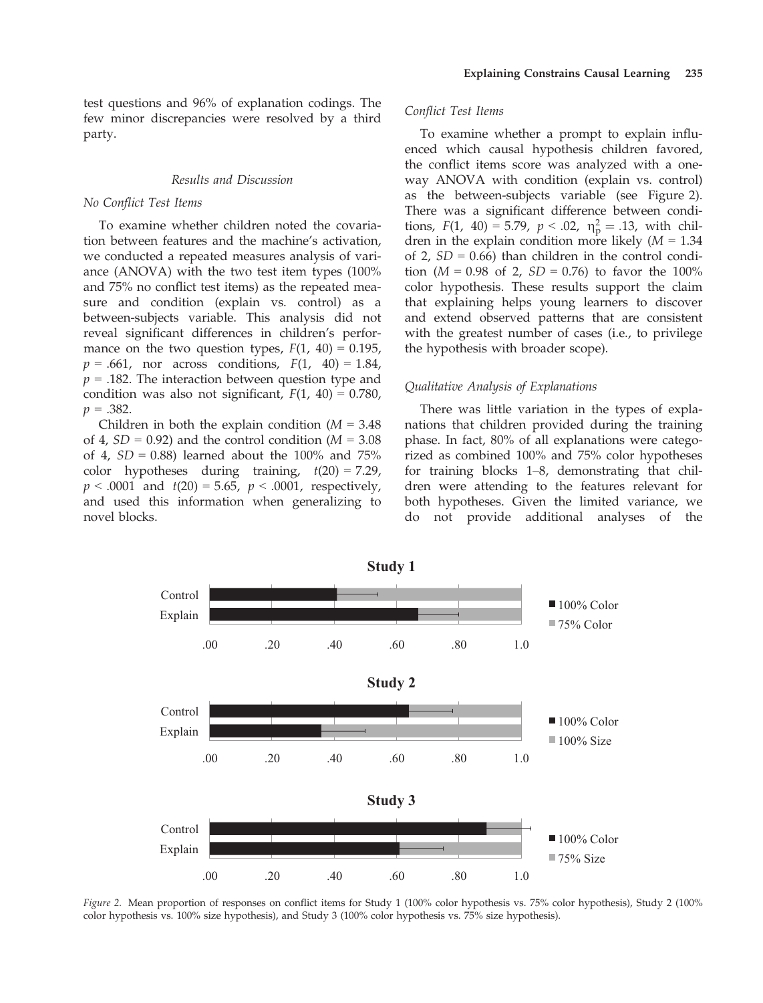test questions and 96% of explanation codings. The few minor discrepancies were resolved by a third party.

#### Results and Discussion

## No Conflict Test Items

To examine whether children noted the covariation between features and the machine's activation, we conducted a repeated measures analysis of variance (ANOVA) with the two test item types (100% and 75% no conflict test items) as the repeated measure and condition (explain vs. control) as a between-subjects variable. This analysis did not reveal significant differences in children's performance on the two question types,  $F(1, 40) = 0.195$ ,  $p = .661$ , nor across conditions,  $F(1, 40) = 1.84$ ,  $p = .182$ . The interaction between question type and condition was also not significant,  $F(1, 40) = 0.780$ ,  $p = .382.$ 

Children in both the explain condition  $(M = 3.48)$ of 4,  $SD = 0.92$ ) and the control condition ( $M = 3.08$ of 4,  $SD = 0.88$ ) learned about the 100% and 75% color hypotheses during training,  $t(20) = 7.29$ ,  $p < .0001$  and  $t(20) = 5.65$ ,  $p < .0001$ , respectively, and used this information when generalizing to novel blocks.

## Conflict Test Items

To examine whether a prompt to explain influenced which causal hypothesis children favored, the conflict items score was analyzed with a oneway ANOVA with condition (explain vs. control) as the between-subjects variable (see Figure 2). There was a significant difference between conditions,  $F(1, 40) = 5.79$ ,  $p < .02$ ,  $\eta_{\rm p}^2 = .13$ , with chil-<br>drep in the explain condition more likely ( $M = 1.34$ dren in the explain condition more likely  $(M = 1.34)$ of 2,  $SD = 0.66$ ) than children in the control condition ( $M = 0.98$  of 2,  $SD = 0.76$ ) to favor the 100% color hypothesis. These results support the claim that explaining helps young learners to discover and extend observed patterns that are consistent with the greatest number of cases (i.e., to privilege the hypothesis with broader scope).

#### Qualitative Analysis of Explanations

There was little variation in the types of explanations that children provided during the training phase. In fact, 80% of all explanations were categorized as combined 100% and 75% color hypotheses for training blocks 1–8, demonstrating that children were attending to the features relevant for both hypotheses. Given the limited variance, we do not provide additional analyses of the



Figure 2. Mean proportion of responses on conflict items for Study 1 (100% color hypothesis vs. 75% color hypothesis), Study 2 (100% color hypothesis vs. 100% size hypothesis), and Study 3 (100% color hypothesis vs. 75% size hypothesis).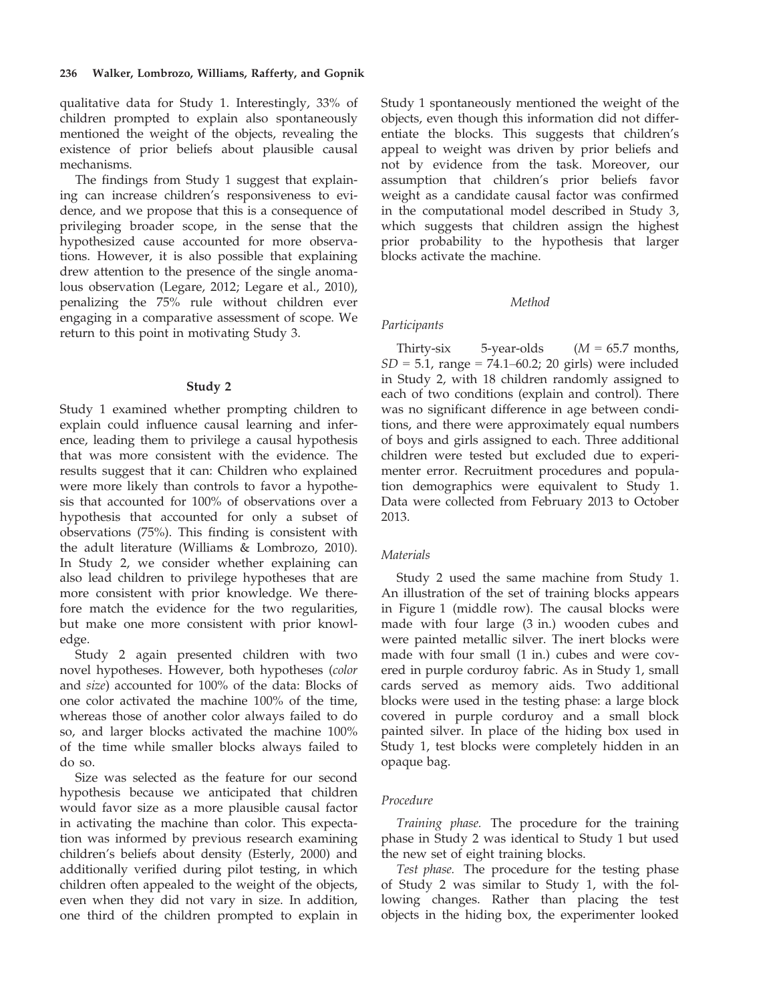qualitative data for Study 1. Interestingly, 33% of children prompted to explain also spontaneously mentioned the weight of the objects, revealing the existence of prior beliefs about plausible causal mechanisms.

The findings from Study 1 suggest that explaining can increase children's responsiveness to evidence, and we propose that this is a consequence of privileging broader scope, in the sense that the hypothesized cause accounted for more observations. However, it is also possible that explaining drew attention to the presence of the single anomalous observation (Legare, 2012; Legare et al., 2010), penalizing the 75% rule without children ever engaging in a comparative assessment of scope. We return to this point in motivating Study 3.

#### Study 2

Study 1 examined whether prompting children to explain could influence causal learning and inference, leading them to privilege a causal hypothesis that was more consistent with the evidence. The results suggest that it can: Children who explained were more likely than controls to favor a hypothesis that accounted for 100% of observations over a hypothesis that accounted for only a subset of observations (75%). This finding is consistent with the adult literature (Williams & Lombrozo, 2010). In Study 2, we consider whether explaining can also lead children to privilege hypotheses that are more consistent with prior knowledge. We therefore match the evidence for the two regularities, but make one more consistent with prior knowledge.

Study 2 again presented children with two novel hypotheses. However, both hypotheses (color and size) accounted for 100% of the data: Blocks of one color activated the machine 100% of the time, whereas those of another color always failed to do so, and larger blocks activated the machine 100% of the time while smaller blocks always failed to do so.

Size was selected as the feature for our second hypothesis because we anticipated that children would favor size as a more plausible causal factor in activating the machine than color. This expectation was informed by previous research examining children's beliefs about density (Esterly, 2000) and additionally verified during pilot testing, in which children often appealed to the weight of the objects, even when they did not vary in size. In addition, one third of the children prompted to explain in Study 1 spontaneously mentioned the weight of the objects, even though this information did not differentiate the blocks. This suggests that children's appeal to weight was driven by prior beliefs and not by evidence from the task. Moreover, our assumption that children's prior beliefs favor weight as a candidate causal factor was confirmed in the computational model described in Study 3, which suggests that children assign the highest prior probability to the hypothesis that larger blocks activate the machine.

## Method

#### Participants

Thirty-six  $5$ -year-olds  $(M = 65.7 \text{ months},$  $SD = 5.1$ , range = 74.1–60.2; 20 girls) were included in Study 2, with 18 children randomly assigned to each of two conditions (explain and control). There was no significant difference in age between conditions, and there were approximately equal numbers of boys and girls assigned to each. Three additional children were tested but excluded due to experimenter error. Recruitment procedures and population demographics were equivalent to Study 1. Data were collected from February 2013 to October 2013.

## Materials

Study 2 used the same machine from Study 1. An illustration of the set of training blocks appears in Figure 1 (middle row). The causal blocks were made with four large (3 in.) wooden cubes and were painted metallic silver. The inert blocks were made with four small (1 in.) cubes and were covered in purple corduroy fabric. As in Study 1, small cards served as memory aids. Two additional blocks were used in the testing phase: a large block covered in purple corduroy and a small block painted silver. In place of the hiding box used in Study 1, test blocks were completely hidden in an opaque bag.

#### Procedure

Training phase. The procedure for the training phase in Study 2 was identical to Study 1 but used the new set of eight training blocks.

Test phase. The procedure for the testing phase of Study 2 was similar to Study 1, with the following changes. Rather than placing the test objects in the hiding box, the experimenter looked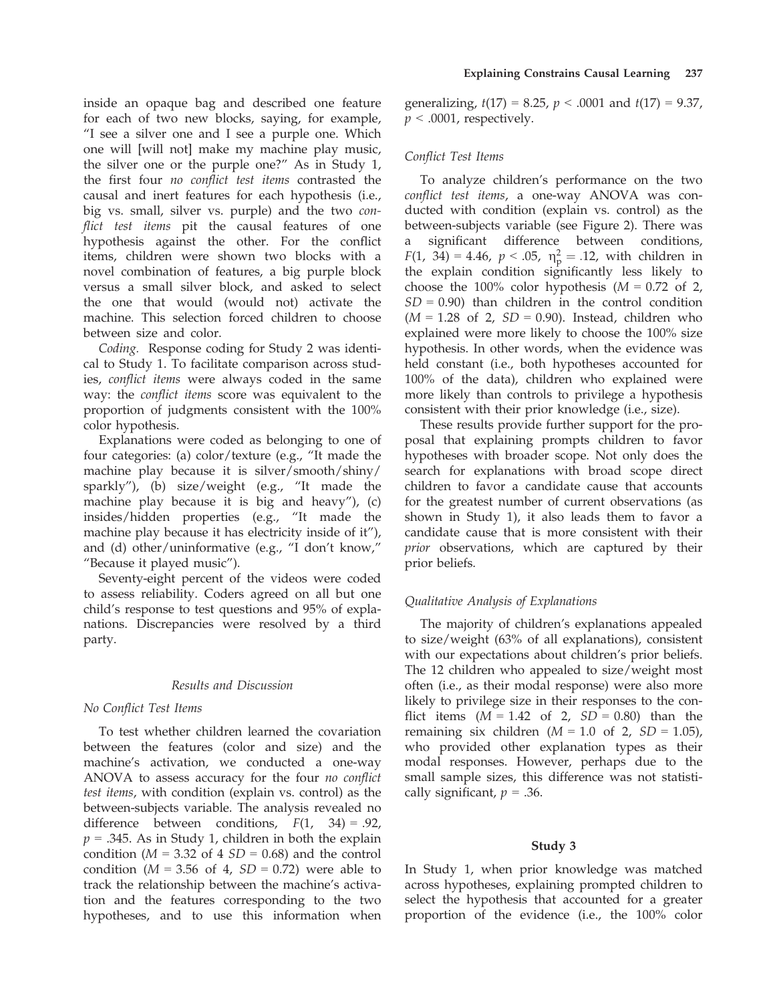inside an opaque bag and described one feature for each of two new blocks, saying, for example, "I see a silver one and I see a purple one. Which one will [will not] make my machine play music, the silver one or the purple one?" As in Study 1, the first four no conflict test items contrasted the causal and inert features for each hypothesis (i.e., big vs. small, silver vs. purple) and the two conflict test items pit the causal features of one hypothesis against the other. For the conflict items, children were shown two blocks with a novel combination of features, a big purple block versus a small silver block, and asked to select the one that would (would not) activate the machine. This selection forced children to choose between size and color.

Coding. Response coding for Study 2 was identical to Study 1. To facilitate comparison across studies, conflict items were always coded in the same way: the conflict items score was equivalent to the proportion of judgments consistent with the 100% color hypothesis.

Explanations were coded as belonging to one of four categories: (a) color/texture (e.g., "It made the machine play because it is silver/smooth/shiny/ sparkly"), (b) size/weight (e.g., "It made the machine play because it is big and heavy"), (c) insides/hidden properties (e.g., "It made the machine play because it has electricity inside of it"), and (d) other/uninformative (e.g., "I don't know," "Because it played music").

Seventy-eight percent of the videos were coded to assess reliability. Coders agreed on all but one child's response to test questions and 95% of explanations. Discrepancies were resolved by a third party.

#### Results and Discussion

# No Conflict Test Items

To test whether children learned the covariation between the features (color and size) and the machine's activation, we conducted a one-way ANOVA to assess accuracy for the four no conflict test items, with condition (explain vs. control) as the between-subjects variable. The analysis revealed no difference between conditions,  $F(1, 34) = .92$ ,  $p = .345$ . As in Study 1, children in both the explain condition ( $M = 3.32$  of 4  $SD = 0.68$ ) and the control condition ( $M = 3.56$  of 4,  $SD = 0.72$ ) were able to track the relationship between the machine's activation and the features corresponding to the two hypotheses, and to use this information when

generalizing,  $t(17) = 8.25$ ,  $p < .0001$  and  $t(17) = 9.37$ ,  $p < .0001$ , respectively.

# Conflict Test Items

To analyze children's performance on the two conflict test items, a one-way ANOVA was conducted with condition (explain vs. control) as the between-subjects variable (see Figure 2). There was a significant difference between conditions,  $F(1, 34) = 4.46$ ,  $p < .05$ ,  $\eta_{\rm p}^2 = .12$ , with children in the explain condition significantly less likely to the explain condition significantly less likely to choose the 100% color hypothesis  $(M = 0.72 \text{ of } 2)$ ,  $SD = 0.90$ ) than children in the control condition  $(M = 1.28$  of 2,  $SD = 0.90$ ). Instead, children who explained were more likely to choose the 100% size hypothesis. In other words, when the evidence was held constant (i.e., both hypotheses accounted for 100% of the data), children who explained were more likely than controls to privilege a hypothesis consistent with their prior knowledge (i.e., size).

These results provide further support for the proposal that explaining prompts children to favor hypotheses with broader scope. Not only does the search for explanations with broad scope direct children to favor a candidate cause that accounts for the greatest number of current observations (as shown in Study 1), it also leads them to favor a candidate cause that is more consistent with their prior observations, which are captured by their prior beliefs.

# Qualitative Analysis of Explanations

The majority of children's explanations appealed to size/weight (63% of all explanations), consistent with our expectations about children's prior beliefs. The 12 children who appealed to size/weight most often (i.e., as their modal response) were also more likely to privilege size in their responses to the conflict items  $(M = 1.42 \text{ of } 2, SD = 0.80)$  than the remaining six children  $(M = 1.0 \text{ of } 2, SD = 1.05)$ , who provided other explanation types as their modal responses. However, perhaps due to the small sample sizes, this difference was not statistically significant,  $p = .36$ .

## Study 3

In Study 1, when prior knowledge was matched across hypotheses, explaining prompted children to select the hypothesis that accounted for a greater proportion of the evidence (i.e., the 100% color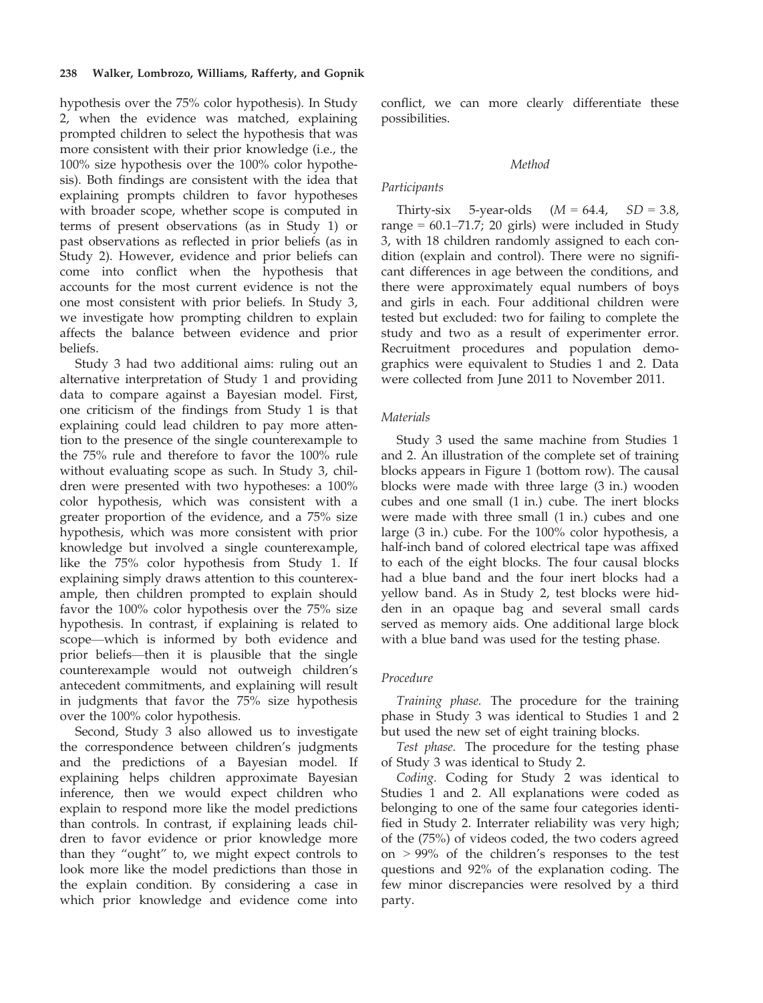hypothesis over the 75% color hypothesis). In Study 2, when the evidence was matched, explaining prompted children to select the hypothesis that was more consistent with their prior knowledge (i.e., the 100% size hypothesis over the 100% color hypothesis). Both findings are consistent with the idea that explaining prompts children to favor hypotheses with broader scope, whether scope is computed in terms of present observations (as in Study 1) or past observations as reflected in prior beliefs (as in Study 2). However, evidence and prior beliefs can come into conflict when the hypothesis that accounts for the most current evidence is not the one most consistent with prior beliefs. In Study 3, we investigate how prompting children to explain affects the balance between evidence and prior beliefs.

Study 3 had two additional aims: ruling out an alternative interpretation of Study 1 and providing data to compare against a Bayesian model. First, one criticism of the findings from Study 1 is that explaining could lead children to pay more attention to the presence of the single counterexample to the 75% rule and therefore to favor the 100% rule without evaluating scope as such. In Study 3, children were presented with two hypotheses: a 100% color hypothesis, which was consistent with a greater proportion of the evidence, and a 75% size hypothesis, which was more consistent with prior knowledge but involved a single counterexample, like the 75% color hypothesis from Study 1. If explaining simply draws attention to this counterexample, then children prompted to explain should favor the 100% color hypothesis over the 75% size hypothesis. In contrast, if explaining is related to scope—which is informed by both evidence and prior beliefs—then it is plausible that the single counterexample would not outweigh children's antecedent commitments, and explaining will result in judgments that favor the 75% size hypothesis over the 100% color hypothesis.

Second, Study 3 also allowed us to investigate the correspondence between children's judgments and the predictions of a Bayesian model. If explaining helps children approximate Bayesian inference, then we would expect children who explain to respond more like the model predictions than controls. In contrast, if explaining leads children to favor evidence or prior knowledge more than they "ought" to, we might expect controls to look more like the model predictions than those in the explain condition. By considering a case in which prior knowledge and evidence come into

conflict, we can more clearly differentiate these possibilities.

#### Method

# Participants

Thirty-six 5-year-olds  $(M = 64.4, SD = 3.8,$ range =  $60.1 - 71.7$ ; 20 girls) were included in Study 3, with 18 children randomly assigned to each condition (explain and control). There were no significant differences in age between the conditions, and there were approximately equal numbers of boys and girls in each. Four additional children were tested but excluded: two for failing to complete the study and two as a result of experimenter error. Recruitment procedures and population demographics were equivalent to Studies 1 and 2. Data were collected from June 2011 to November 2011.

#### Materials

Study 3 used the same machine from Studies 1 and 2. An illustration of the complete set of training blocks appears in Figure 1 (bottom row). The causal blocks were made with three large (3 in.) wooden cubes and one small (1 in.) cube. The inert blocks were made with three small (1 in.) cubes and one large (3 in.) cube. For the 100% color hypothesis, a half-inch band of colored electrical tape was affixed to each of the eight blocks. The four causal blocks had a blue band and the four inert blocks had a yellow band. As in Study 2, test blocks were hidden in an opaque bag and several small cards served as memory aids. One additional large block with a blue band was used for the testing phase.

#### Procedure

Training phase. The procedure for the training phase in Study 3 was identical to Studies 1 and 2 but used the new set of eight training blocks.

Test phase. The procedure for the testing phase of Study 3 was identical to Study 2.

Coding. Coding for Study 2 was identical to Studies 1 and 2. All explanations were coded as belonging to one of the same four categories identified in Study 2. Interrater reliability was very high; of the (75%) of videos coded, the two coders agreed on > 99% of the children's responses to the test questions and 92% of the explanation coding. The few minor discrepancies were resolved by a third party.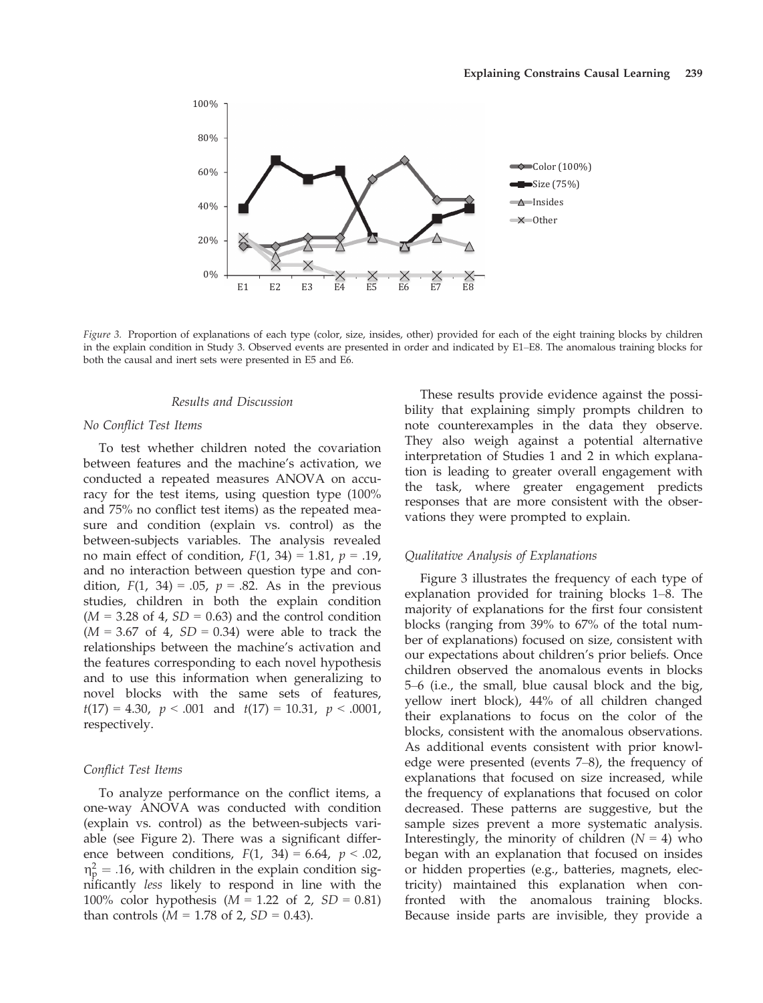

Figure 3. Proportion of explanations of each type (color, size, insides, other) provided for each of the eight training blocks by children in the explain condition in Study 3. Observed events are presented in order and indicated by E1–E8. The anomalous training blocks for both the causal and inert sets were presented in E5 and E6.

#### Results and Discussion

## No Conflict Test Items

To test whether children noted the covariation between features and the machine's activation, we conducted a repeated measures ANOVA on accuracy for the test items, using question type (100% and 75% no conflict test items) as the repeated measure and condition (explain vs. control) as the between-subjects variables. The analysis revealed no main effect of condition,  $F(1, 34) = 1.81$ ,  $p = .19$ , and no interaction between question type and condition,  $F(1, 34) = .05$ ,  $p = .82$ . As in the previous studies, children in both the explain condition  $(M = 3.28$  of 4,  $SD = 0.63$ ) and the control condition  $(M = 3.67$  of 4,  $SD = 0.34$ ) were able to track the relationships between the machine's activation and the features corresponding to each novel hypothesis and to use this information when generalizing to novel blocks with the same sets of features,  $t(17) = 4.30$ ,  $p < .001$  and  $t(17) = 10.31$ ,  $p < .0001$ , respectively.

## Conflict Test Items

To analyze performance on the conflict items, a one-way ANOVA was conducted with condition (explain vs. control) as the between-subjects variable (see Figure 2). There was a significant difference between conditions,  $F(1, 34) = 6.64$ ,  $p < .02$ ,  $\eta_{\rm p}^2 = .16$ , with children in the explain condition sig-<br>pificantly *less* likely to respond in line with the nificantly less likely to respond in line with the 100% color hypothesis  $(M = 1.22 \text{ of } 2, SD = 0.81)$ than controls ( $M = 1.78$  of 2,  $SD = 0.43$ ).

These results provide evidence against the possibility that explaining simply prompts children to note counterexamples in the data they observe. They also weigh against a potential alternative interpretation of Studies 1 and 2 in which explanation is leading to greater overall engagement with the task, where greater engagement predicts responses that are more consistent with the observations they were prompted to explain.

#### Qualitative Analysis of Explanations

Figure 3 illustrates the frequency of each type of explanation provided for training blocks 1–8. The majority of explanations for the first four consistent blocks (ranging from 39% to 67% of the total number of explanations) focused on size, consistent with our expectations about children's prior beliefs. Once children observed the anomalous events in blocks 5–6 (i.e., the small, blue causal block and the big, yellow inert block), 44% of all children changed their explanations to focus on the color of the blocks, consistent with the anomalous observations. As additional events consistent with prior knowledge were presented (events 7–8), the frequency of explanations that focused on size increased, while the frequency of explanations that focused on color decreased. These patterns are suggestive, but the sample sizes prevent a more systematic analysis. Interestingly, the minority of children  $(N = 4)$  who began with an explanation that focused on insides or hidden properties (e.g., batteries, magnets, electricity) maintained this explanation when confronted with the anomalous training blocks. Because inside parts are invisible, they provide a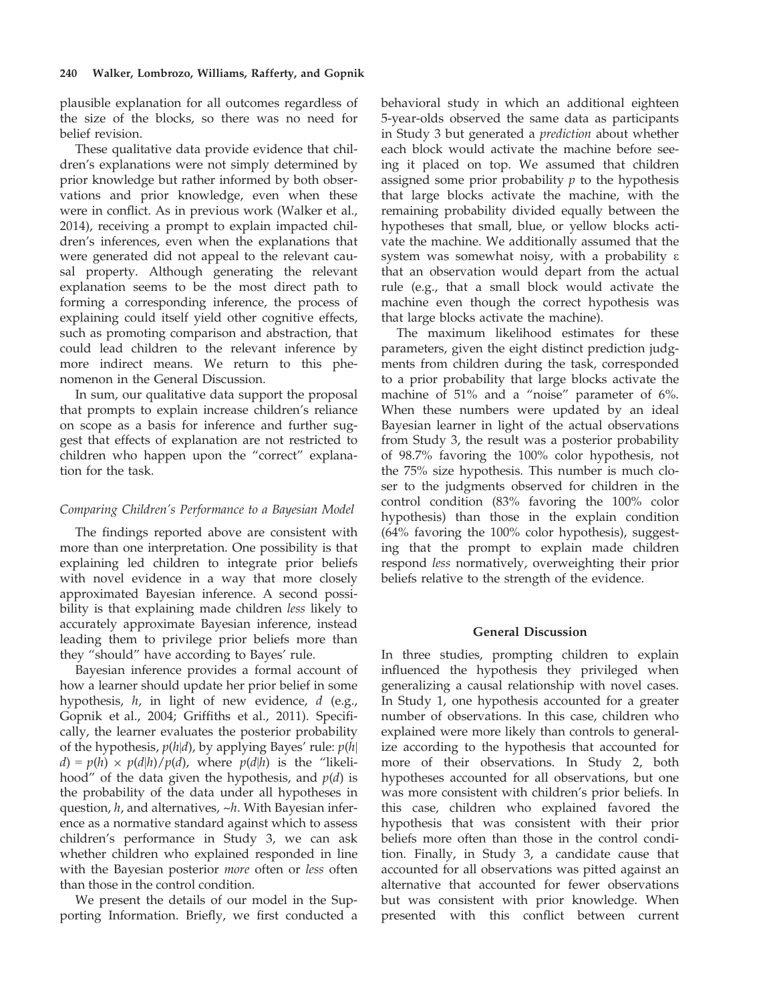plausible explanation for all outcomes regardless of the size of the blocks, so there was no need for belief revision.

These qualitative data provide evidence that children's explanations were not simply determined by prior knowledge but rather informed by both observations and prior knowledge, even when these were in conflict. As in previous work (Walker et al., 2014), receiving a prompt to explain impacted children's inferences, even when the explanations that were generated did not appeal to the relevant causal property. Although generating the relevant explanation seems to be the most direct path to forming a corresponding inference, the process of explaining could itself yield other cognitive effects, such as promoting comparison and abstraction, that could lead children to the relevant inference by more indirect means. We return to this phenomenon in the General Discussion.

In sum, our qualitative data support the proposal that prompts to explain increase children's reliance on scope as a basis for inference and further suggest that effects of explanation are not restricted to children who happen upon the "correct" explanation for the task.

# Comparing Children's Performance to a Bayesian Model

The findings reported above are consistent with more than one interpretation. One possibility is that explaining led children to integrate prior beliefs with novel evidence in a way that more closely approximated Bayesian inference. A second possibility is that explaining made children less likely to accurately approximate Bayesian inference, instead leading them to privilege prior beliefs more than they "should" have according to Bayes' rule.

Bayesian inference provides a formal account of how a learner should update her prior belief in some hypothesis, h, in light of new evidence, d (e.g., Gopnik et al., 2004; Griffiths et al., 2011). Specifically, the learner evaluates the posterior probability of the hypothesis,  $p(h|d)$ , by applying Bayes' rule:  $p(h|d)$  $d$ ) =  $p(h) \times p(d|h)/p(d)$ , where  $p(d|h)$  is the "likelihood" of the data given the hypothesis, and  $p(d)$  is the probability of the data under all hypotheses in question,  $h$ , and alternatives,  $\neg h$ . With Bayesian inference as a normative standard against which to assess children's performance in Study 3, we can ask whether children who explained responded in line with the Bayesian posterior *more* often or *less* often than those in the control condition.

We present the details of our model in the Supporting Information. Briefly, we first conducted a behavioral study in which an additional eighteen 5-year-olds observed the same data as participants in Study 3 but generated a prediction about whether each block would activate the machine before seeing it placed on top. We assumed that children assigned some prior probability  $p$  to the hypothesis that large blocks activate the machine, with the remaining probability divided equally between the hypotheses that small, blue, or yellow blocks activate the machine. We additionally assumed that the system was somewhat noisy, with a probability e that an observation would depart from the actual rule (e.g., that a small block would activate the machine even though the correct hypothesis was that large blocks activate the machine).

The maximum likelihood estimates for these parameters, given the eight distinct prediction judgments from children during the task, corresponded to a prior probability that large blocks activate the machine of 51% and a "noise" parameter of 6%. When these numbers were updated by an ideal Bayesian learner in light of the actual observations from Study 3, the result was a posterior probability of 98.7% favoring the 100% color hypothesis, not the 75% size hypothesis. This number is much closer to the judgments observed for children in the control condition (83% favoring the 100% color hypothesis) than those in the explain condition (64% favoring the 100% color hypothesis), suggesting that the prompt to explain made children respond less normatively, overweighting their prior beliefs relative to the strength of the evidence.

#### General Discussion

In three studies, prompting children to explain influenced the hypothesis they privileged when generalizing a causal relationship with novel cases. In Study 1, one hypothesis accounted for a greater number of observations. In this case, children who explained were more likely than controls to generalize according to the hypothesis that accounted for more of their observations. In Study 2, both hypotheses accounted for all observations, but one was more consistent with children's prior beliefs. In this case, children who explained favored the hypothesis that was consistent with their prior beliefs more often than those in the control condition. Finally, in Study 3, a candidate cause that accounted for all observations was pitted against an alternative that accounted for fewer observations but was consistent with prior knowledge. When presented with this conflict between current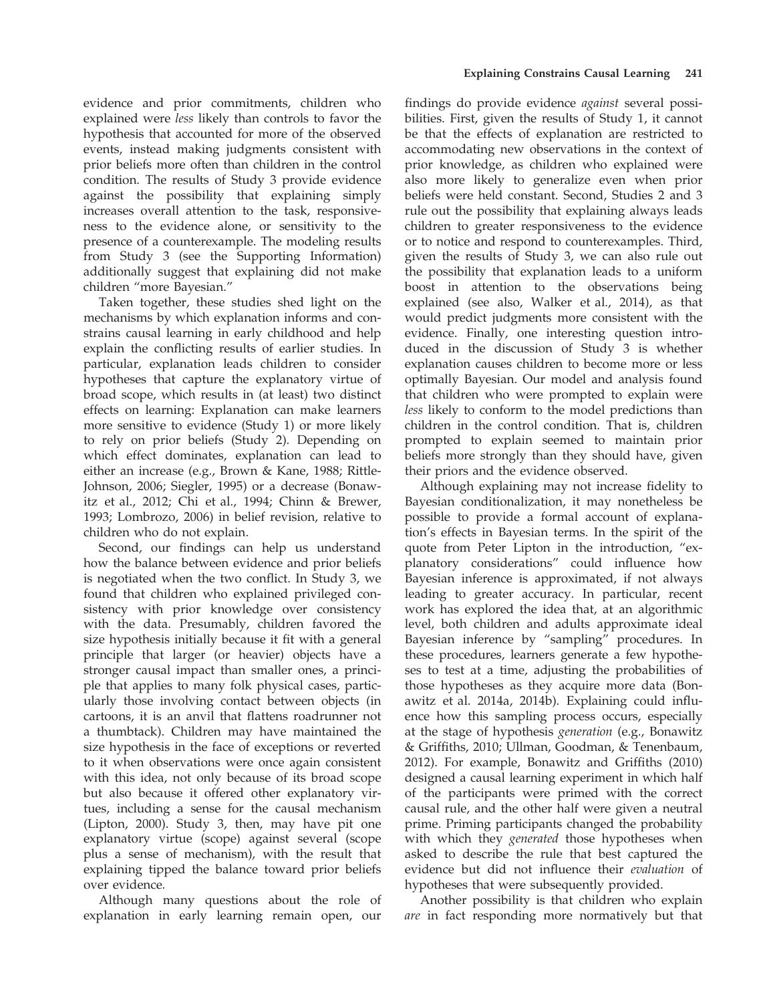evidence and prior commitments, children who explained were less likely than controls to favor the hypothesis that accounted for more of the observed events, instead making judgments consistent with prior beliefs more often than children in the control condition. The results of Study 3 provide evidence against the possibility that explaining simply increases overall attention to the task, responsiveness to the evidence alone, or sensitivity to the presence of a counterexample. The modeling results from Study 3 (see the Supporting Information) additionally suggest that explaining did not make children "more Bayesian."

Taken together, these studies shed light on the mechanisms by which explanation informs and constrains causal learning in early childhood and help explain the conflicting results of earlier studies. In particular, explanation leads children to consider hypotheses that capture the explanatory virtue of broad scope, which results in (at least) two distinct effects on learning: Explanation can make learners more sensitive to evidence (Study 1) or more likely to rely on prior beliefs (Study 2). Depending on which effect dominates, explanation can lead to either an increase (e.g., Brown & Kane, 1988; Rittle-Johnson, 2006; Siegler, 1995) or a decrease (Bonawitz et al., 2012; Chi et al., 1994; Chinn & Brewer, 1993; Lombrozo, 2006) in belief revision, relative to children who do not explain.

Second, our findings can help us understand how the balance between evidence and prior beliefs is negotiated when the two conflict. In Study 3, we found that children who explained privileged consistency with prior knowledge over consistency with the data. Presumably, children favored the size hypothesis initially because it fit with a general principle that larger (or heavier) objects have a stronger causal impact than smaller ones, a principle that applies to many folk physical cases, particularly those involving contact between objects (in cartoons, it is an anvil that flattens roadrunner not a thumbtack). Children may have maintained the size hypothesis in the face of exceptions or reverted to it when observations were once again consistent with this idea, not only because of its broad scope but also because it offered other explanatory virtues, including a sense for the causal mechanism (Lipton, 2000). Study 3, then, may have pit one explanatory virtue (scope) against several (scope plus a sense of mechanism), with the result that explaining tipped the balance toward prior beliefs over evidence.

Although many questions about the role of explanation in early learning remain open, our

findings do provide evidence against several possibilities. First, given the results of Study 1, it cannot be that the effects of explanation are restricted to accommodating new observations in the context of prior knowledge, as children who explained were also more likely to generalize even when prior beliefs were held constant. Second, Studies 2 and 3 rule out the possibility that explaining always leads children to greater responsiveness to the evidence or to notice and respond to counterexamples. Third, given the results of Study 3, we can also rule out the possibility that explanation leads to a uniform boost in attention to the observations being explained (see also, Walker et al., 2014), as that would predict judgments more consistent with the evidence. Finally, one interesting question introduced in the discussion of Study 3 is whether explanation causes children to become more or less optimally Bayesian. Our model and analysis found that children who were prompted to explain were less likely to conform to the model predictions than children in the control condition. That is, children prompted to explain seemed to maintain prior beliefs more strongly than they should have, given their priors and the evidence observed.

Although explaining may not increase fidelity to Bayesian conditionalization, it may nonetheless be possible to provide a formal account of explanation's effects in Bayesian terms. In the spirit of the quote from Peter Lipton in the introduction, "explanatory considerations" could influence how Bayesian inference is approximated, if not always leading to greater accuracy. In particular, recent work has explored the idea that, at an algorithmic level, both children and adults approximate ideal Bayesian inference by "sampling" procedures. In these procedures, learners generate a few hypotheses to test at a time, adjusting the probabilities of those hypotheses as they acquire more data (Bonawitz et al. 2014a, 2014b). Explaining could influence how this sampling process occurs, especially at the stage of hypothesis generation (e.g., Bonawitz & Griffiths, 2010; Ullman, Goodman, & Tenenbaum, 2012). For example, Bonawitz and Griffiths (2010) designed a causal learning experiment in which half of the participants were primed with the correct causal rule, and the other half were given a neutral prime. Priming participants changed the probability with which they *generated* those hypotheses when asked to describe the rule that best captured the evidence but did not influence their evaluation of hypotheses that were subsequently provided.

Another possibility is that children who explain are in fact responding more normatively but that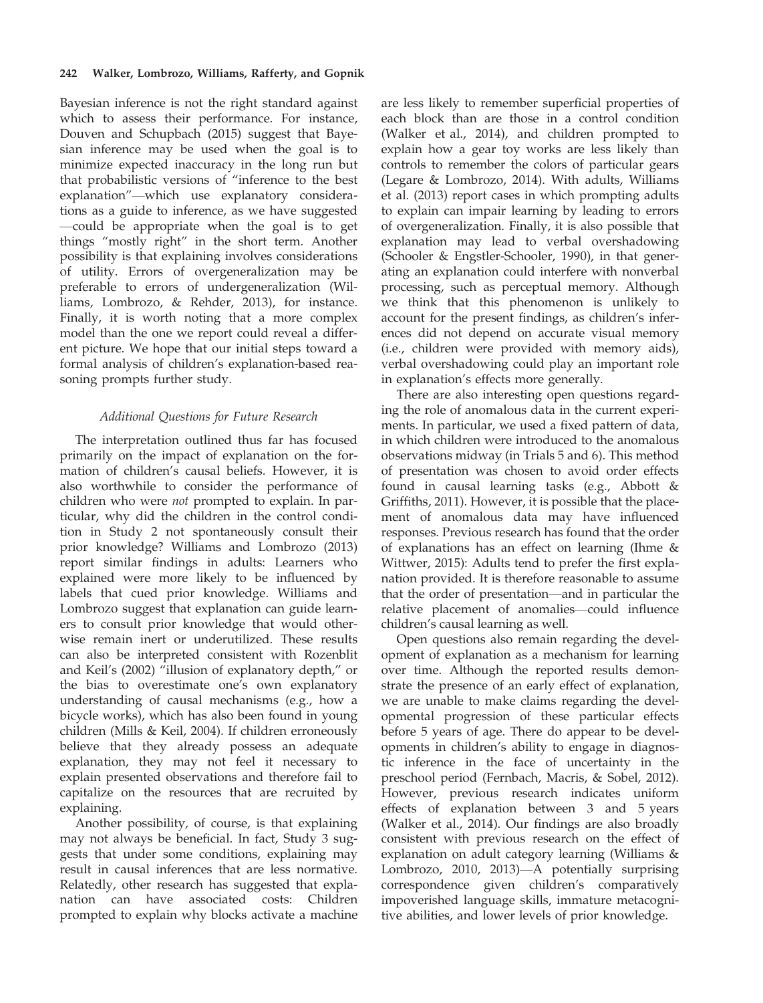Bayesian inference is not the right standard against which to assess their performance. For instance, Douven and Schupbach (2015) suggest that Bayesian inference may be used when the goal is to minimize expected inaccuracy in the long run but that probabilistic versions of "inference to the best explanation"—which use explanatory considerations as a guide to inference, as we have suggested —could be appropriate when the goal is to get things "mostly right" in the short term. Another possibility is that explaining involves considerations of utility. Errors of overgeneralization may be preferable to errors of undergeneralization (Williams, Lombrozo, & Rehder, 2013), for instance. Finally, it is worth noting that a more complex model than the one we report could reveal a different picture. We hope that our initial steps toward a formal analysis of children's explanation-based reasoning prompts further study.

# Additional Questions for Future Research

The interpretation outlined thus far has focused primarily on the impact of explanation on the formation of children's causal beliefs. However, it is also worthwhile to consider the performance of children who were not prompted to explain. In particular, why did the children in the control condition in Study 2 not spontaneously consult their prior knowledge? Williams and Lombrozo (2013) report similar findings in adults: Learners who explained were more likely to be influenced by labels that cued prior knowledge. Williams and Lombrozo suggest that explanation can guide learners to consult prior knowledge that would otherwise remain inert or underutilized. These results can also be interpreted consistent with Rozenblit and Keil's (2002) "illusion of explanatory depth," or the bias to overestimate one's own explanatory understanding of causal mechanisms (e.g., how a bicycle works), which has also been found in young children (Mills & Keil, 2004). If children erroneously believe that they already possess an adequate explanation, they may not feel it necessary to explain presented observations and therefore fail to capitalize on the resources that are recruited by explaining.

Another possibility, of course, is that explaining may not always be beneficial. In fact, Study 3 suggests that under some conditions, explaining may result in causal inferences that are less normative. Relatedly, other research has suggested that explanation can have associated costs: Children prompted to explain why blocks activate a machine

are less likely to remember superficial properties of each block than are those in a control condition (Walker et al., 2014), and children prompted to explain how a gear toy works are less likely than controls to remember the colors of particular gears (Legare & Lombrozo, 2014). With adults, Williams et al. (2013) report cases in which prompting adults to explain can impair learning by leading to errors of overgeneralization. Finally, it is also possible that explanation may lead to verbal overshadowing (Schooler & Engstler-Schooler, 1990), in that generating an explanation could interfere with nonverbal processing, such as perceptual memory. Although we think that this phenomenon is unlikely to account for the present findings, as children's inferences did not depend on accurate visual memory (i.e., children were provided with memory aids), verbal overshadowing could play an important role in explanation's effects more generally.

There are also interesting open questions regarding the role of anomalous data in the current experiments. In particular, we used a fixed pattern of data, in which children were introduced to the anomalous observations midway (in Trials 5 and 6). This method of presentation was chosen to avoid order effects found in causal learning tasks (e.g., Abbott & Griffiths, 2011). However, it is possible that the placement of anomalous data may have influenced responses. Previous research has found that the order of explanations has an effect on learning (Ihme & Wittwer, 2015): Adults tend to prefer the first explanation provided. It is therefore reasonable to assume that the order of presentation—and in particular the relative placement of anomalies—could influence children's causal learning as well.

Open questions also remain regarding the development of explanation as a mechanism for learning over time. Although the reported results demonstrate the presence of an early effect of explanation, we are unable to make claims regarding the developmental progression of these particular effects before 5 years of age. There do appear to be developments in children's ability to engage in diagnostic inference in the face of uncertainty in the preschool period (Fernbach, Macris, & Sobel, 2012). However, previous research indicates uniform effects of explanation between 3 and 5 years (Walker et al., 2014). Our findings are also broadly consistent with previous research on the effect of explanation on adult category learning (Williams & Lombrozo, 2010, 2013)—A potentially surprising correspondence given children's comparatively impoverished language skills, immature metacognitive abilities, and lower levels of prior knowledge.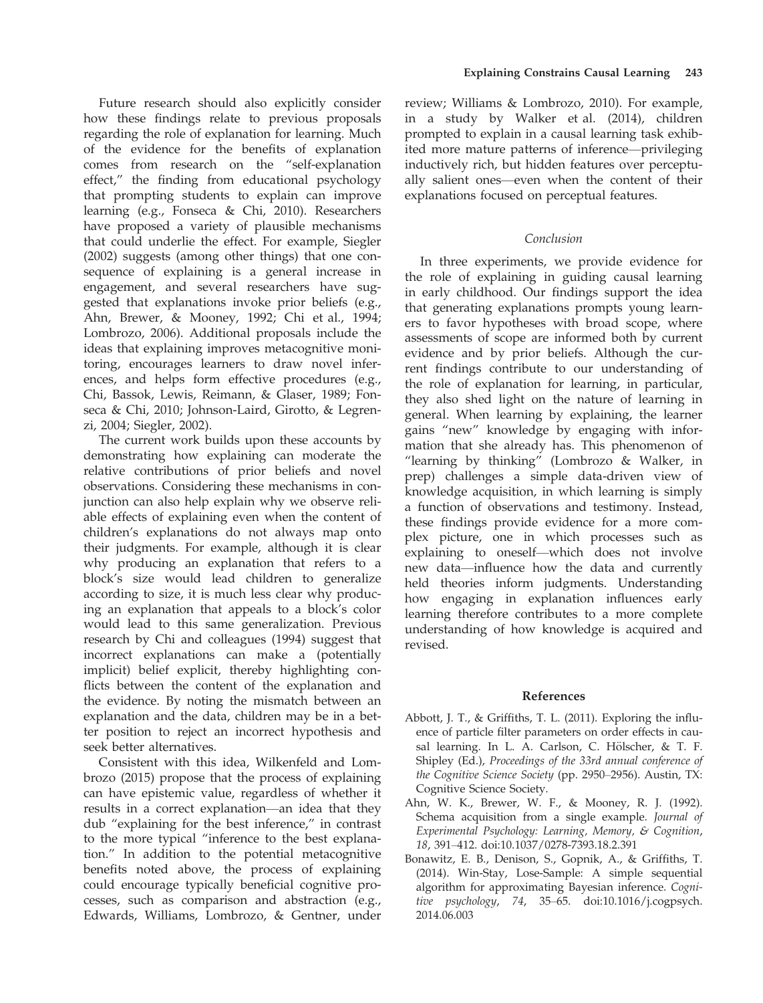Future research should also explicitly consider how these findings relate to previous proposals regarding the role of explanation for learning. Much of the evidence for the benefits of explanation comes from research on the "self-explanation effect," the finding from educational psychology that prompting students to explain can improve learning (e.g., Fonseca & Chi, 2010). Researchers have proposed a variety of plausible mechanisms that could underlie the effect. For example, Siegler (2002) suggests (among other things) that one consequence of explaining is a general increase in engagement, and several researchers have suggested that explanations invoke prior beliefs (e.g., Ahn, Brewer, & Mooney, 1992; Chi et al., 1994; Lombrozo, 2006). Additional proposals include the ideas that explaining improves metacognitive monitoring, encourages learners to draw novel inferences, and helps form effective procedures (e.g., Chi, Bassok, Lewis, Reimann, & Glaser, 1989; Fonseca & Chi, 2010; Johnson-Laird, Girotto, & Legrenzi, 2004; Siegler, 2002).

The current work builds upon these accounts by demonstrating how explaining can moderate the relative contributions of prior beliefs and novel observations. Considering these mechanisms in conjunction can also help explain why we observe reliable effects of explaining even when the content of children's explanations do not always map onto their judgments. For example, although it is clear why producing an explanation that refers to a block's size would lead children to generalize according to size, it is much less clear why producing an explanation that appeals to a block's color would lead to this same generalization. Previous research by Chi and colleagues (1994) suggest that incorrect explanations can make a (potentially implicit) belief explicit, thereby highlighting conflicts between the content of the explanation and the evidence. By noting the mismatch between an explanation and the data, children may be in a better position to reject an incorrect hypothesis and seek better alternatives.

Consistent with this idea, Wilkenfeld and Lombrozo (2015) propose that the process of explaining can have epistemic value, regardless of whether it results in a correct explanation—an idea that they dub "explaining for the best inference," in contrast to the more typical "inference to the best explanation." In addition to the potential metacognitive benefits noted above, the process of explaining could encourage typically beneficial cognitive processes, such as comparison and abstraction (e.g., Edwards, Williams, Lombrozo, & Gentner, under

review; Williams & Lombrozo, 2010). For example, in a study by Walker et al. (2014), children prompted to explain in a causal learning task exhibited more mature patterns of inference—privileging inductively rich, but hidden features over perceptually salient ones—even when the content of their explanations focused on perceptual features.

# Conclusion

In three experiments, we provide evidence for the role of explaining in guiding causal learning in early childhood. Our findings support the idea that generating explanations prompts young learners to favor hypotheses with broad scope, where assessments of scope are informed both by current evidence and by prior beliefs. Although the current findings contribute to our understanding of the role of explanation for learning, in particular, they also shed light on the nature of learning in general. When learning by explaining, the learner gains "new" knowledge by engaging with information that she already has. This phenomenon of "learning by thinking" (Lombrozo & Walker, in prep) challenges a simple data-driven view of knowledge acquisition, in which learning is simply a function of observations and testimony. Instead, these findings provide evidence for a more complex picture, one in which processes such as explaining to oneself—which does not involve new data—influence how the data and currently held theories inform judgments. Understanding how engaging in explanation influences early learning therefore contributes to a more complete understanding of how knowledge is acquired and revised.

# References

- Abbott, J. T., & Griffiths, T. L. (2011). Exploring the influence of particle filter parameters on order effects in causal learning. In L. A. Carlson, C. Hölscher, & T. F. Shipley (Ed.), Proceedings of the 33rd annual conference of the Cognitive Science Society (pp. 2950–2956). Austin, TX: Cognitive Science Society.
- Ahn, W. K., Brewer, W. F., & Mooney, R. J. (1992). Schema acquisition from a single example. Journal of Experimental Psychology: Learning, Memory, & Cognition, 18, 391–412. doi:[10.1037/0278-7393.18.2.391](http://dx.doi.org/10.1037/0278-7393.18.2.391)
- Bonawitz, E. B., Denison, S., Gopnik, A., & Griffiths, T. (2014). Win-Stay, Lose-Sample: A simple sequential algorithm for approximating Bayesian inference. Cognitive psychology, 74, 35–65. doi:10.1016/j.cogpsych. 2014.06.003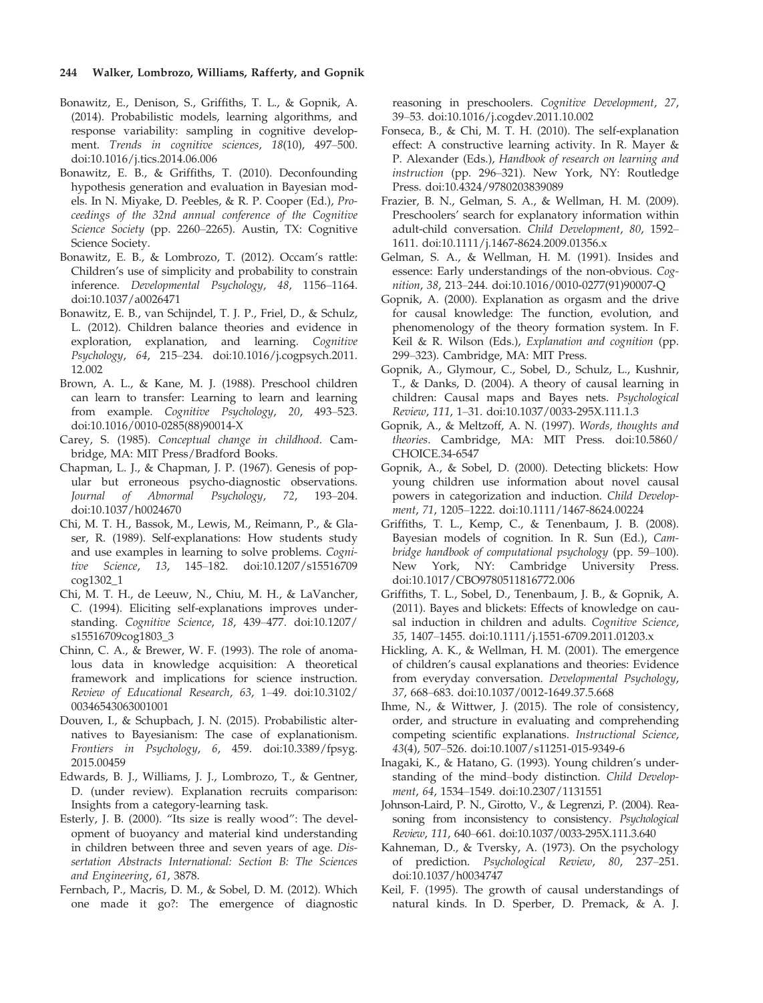- Bonawitz, E., Denison, S., Griffiths, T. L., & Gopnik, A. (2014). Probabilistic models, learning algorithms, and response variability: sampling in cognitive development. Trends in cognitive sciences, 18(10), 497–500. doi:10.1016/j.tics.2014.06.006
- Bonawitz, E. B., & Griffiths, T. (2010). Deconfounding hypothesis generation and evaluation in Bayesian models. In N. Miyake, D. Peebles, & R. P. Cooper (Ed.), Proceedings of the 32nd annual conference of the Cognitive Science Society (pp. 2260–2265). Austin, TX: Cognitive Science Society.
- Bonawitz, E. B., & Lombrozo, T. (2012). Occam's rattle: Children's use of simplicity and probability to constrain inference. Developmental Psychology, 48, 1156–1164. doi:[10.1037/a0026471](http://dx.doi.org/10.1037/a0026471)
- Bonawitz, E. B., van Schijndel, T. J. P., Friel, D., & Schulz, L. (2012). Children balance theories and evidence in exploration, explanation, and learning. Cognitive Psychology, 64, 215–234. doi[:10.1016/j.cogpsych.2011.](http://dx.doi.org/10.1016/j.cogpsych.2011.12.002) [12.002](http://dx.doi.org/10.1016/j.cogpsych.2011.12.002)
- Brown, A. L., & Kane, M. J. (1988). Preschool children can learn to transfer: Learning to learn and learning from example. Cognitive Psychology, 20, 493–523. doi:[10.1016/0010-0285\(88\)90014-X](http://dx.doi.org/10.1016/0010-0285(88)90014-X)
- Carey, S. (1985). Conceptual change in childhood. Cambridge, MA: MIT Press/Bradford Books.
- Chapman, L. J., & Chapman, J. P. (1967). Genesis of popular but erroneous psycho-diagnostic observations. Journal of Abnormal Psychology, 72, 193–204. doi:[10.1037/h0024670](http://dx.doi.org/10.1037/h0024670)
- Chi, M. T. H., Bassok, M., Lewis, M., Reimann, P., & Glaser, R. (1989). Self-explanations: How students study and use examples in learning to solve problems. Cognitive Science, 13, 145–182. doi[:10.1207/s15516709](http://dx.doi.org/10.1207/s15516709cog1302_1) [cog1302\\_1](http://dx.doi.org/10.1207/s15516709cog1302_1)
- Chi, M. T. H., de Leeuw, N., Chiu, M. H., & LaVancher, C. (1994). Eliciting self-explanations improves understanding. Cognitive Science, 18, 439–477. doi:[10.1207/](http://dx.doi.org/10.1207/s15516709cog1803_3) [s15516709cog1803\\_3](http://dx.doi.org/10.1207/s15516709cog1803_3)
- Chinn, C. A., & Brewer, W. F. (1993). The role of anomalous data in knowledge acquisition: A theoretical framework and implications for science instruction. Review of Educational Research, 63, 1–49. doi:[10.3102/](http://dx.doi.org/10.3102/00346543063001001) [00346543063001001](http://dx.doi.org/10.3102/00346543063001001)
- Douven, I., & Schupbach, J. N. (2015). Probabilistic alternatives to Bayesianism: The case of explanationism. Frontiers in Psychology, 6, 459. doi:[10.3389/fpsyg.](http://dx.doi.org/10.3389/fpsyg.2015.00459) [2015.00459](http://dx.doi.org/10.3389/fpsyg.2015.00459)
- Edwards, B. J., Williams, J. J., Lombrozo, T., & Gentner, D. (under review). Explanation recruits comparison: Insights from a category-learning task.
- Esterly, J. B. (2000). "Its size is really wood": The development of buoyancy and material kind understanding in children between three and seven years of age. Dissertation Abstracts International: Section B: The Sciences and Engineering, 61, 3878.
- Fernbach, P., Macris, D. M., & Sobel, D. M. (2012). Which one made it go?: The emergence of diagnostic

reasoning in preschoolers. Cognitive Development, 27, 39–53. doi[:10.1016/j.cogdev.2011.10.002](http://dx.doi.org/doi:10.1016/j.cogdev.2011.10.002)

- Fonseca, B., & Chi, M. T. H. (2010). The self-explanation effect: A constructive learning activity. In R. Mayer & P. Alexander (Eds.), Handbook of research on learning and instruction (pp. 296–321). New York, NY: Routledge Press. doi[:10.4324/9780203839089](http://dx.doi.org/10.4324/9780203839089)
- Frazier, B. N., Gelman, S. A., & Wellman, H. M. (2009). Preschoolers' search for explanatory information within adult-child conversation. Child Development, 80, 1592– 1611. doi:[10.1111/j.1467-8624.2009.01356.x](http://dx.doi.org/10.1111/j.1467-8624.2009.01356.x)
- Gelman, S. A., & Wellman, H. M. (1991). Insides and essence: Early understandings of the non-obvious. Cognition, 38, 213–244. doi[:10.1016/0010-0277\(91\)90007-Q](http://dx.doi.org/10.1016/0010-0277(91)90007-Q)
- Gopnik, A. (2000). Explanation as orgasm and the drive for causal knowledge: The function, evolution, and phenomenology of the theory formation system. In F. Keil & R. Wilson (Eds.), Explanation and cognition (pp. 299–323). Cambridge, MA: MIT Press.
- Gopnik, A., Glymour, C., Sobel, D., Schulz, L., Kushnir, T., & Danks, D. (2004). A theory of causal learning in children: Causal maps and Bayes nets. Psychological Review, 111, 1–31. doi:[10.1037/0033-295X.111.1.3](http://dx.doi.org/10.1037/0033-295X.111.1.3)
- Gopnik, A., & Meltzoff, A. N. (1997). Words, thoughts and theories. Cambridge, MA: MIT Press. doi[:10.5860/](http://dx.doi.org/10.5860/CHOICE.34-6547) [CHOICE.34-6547](http://dx.doi.org/10.5860/CHOICE.34-6547)
- Gopnik, A., & Sobel, D. (2000). Detecting blickets: How young children use information about novel causal powers in categorization and induction. Child Development, 71, 1205–1222. doi:[10.1111/1467-8624.00224](http://dx.doi.org/10.1111/1467-8624.00224)
- Griffiths, T. L., Kemp, C., & Tenenbaum, J. B. (2008). Bayesian models of cognition. In R. Sun (Ed.), Cambridge handbook of computational psychology (pp. 59–100). New York, NY: Cambridge University Press. doi[:10.1017/CBO9780511816772.006](http://dx.doi.org/10.1017/CBO9780511816772.006)
- Griffiths, T. L., Sobel, D., Tenenbaum, J. B., & Gopnik, A. (2011). Bayes and blickets: Effects of knowledge on causal induction in children and adults. Cognitive Science, 35, 1407–1455. doi[:10.1111/j.1551-6709.2011.01203.x](http://dx.doi.org/10.1111/j.1551-6709.2011.01203.x)
- Hickling, A. K., & Wellman, H. M. (2001). The emergence of children's causal explanations and theories: Evidence from everyday conversation. Developmental Psychology, 37, 668–683. doi[:10.1037/0012-1649.37.5.668](http://dx.doi.org/10.1037/0012-1649.37.5.668)
- Ihme, N., & Wittwer, J. (2015). The role of consistency, order, and structure in evaluating and comprehending competing scientific explanations. Instructional Science, 43(4), 507–526. doi:[10.1007/s11251-015-9349-6](http://dx.doi.org/10.1007/s11251-015-9349-6)
- Inagaki, K., & Hatano, G. (1993). Young children's understanding of the mind–body distinction. Child Development, 64, 1534–1549. doi:[10.2307/1131551](http://dx.doi.org/10.2307/1131551)
- Johnson-Laird, P. N., Girotto, V., & Legrenzi, P. (2004). Reasoning from inconsistency to consistency. Psychological Review, 111, 640–661. doi[:10.1037/0033-295X.111.3.640](http://dx.doi.org/10.1037/0033-295X.111.3.640)
- Kahneman, D., & Tversky, A. (1973). On the psychology of prediction. Psychological Review, 80, 237–251. doi[:10.1037/h0034747](http://dx.doi.org/10.1037/h0034747)
- Keil, F. (1995). The growth of causal understandings of natural kinds. In D. Sperber, D. Premack, & A. J.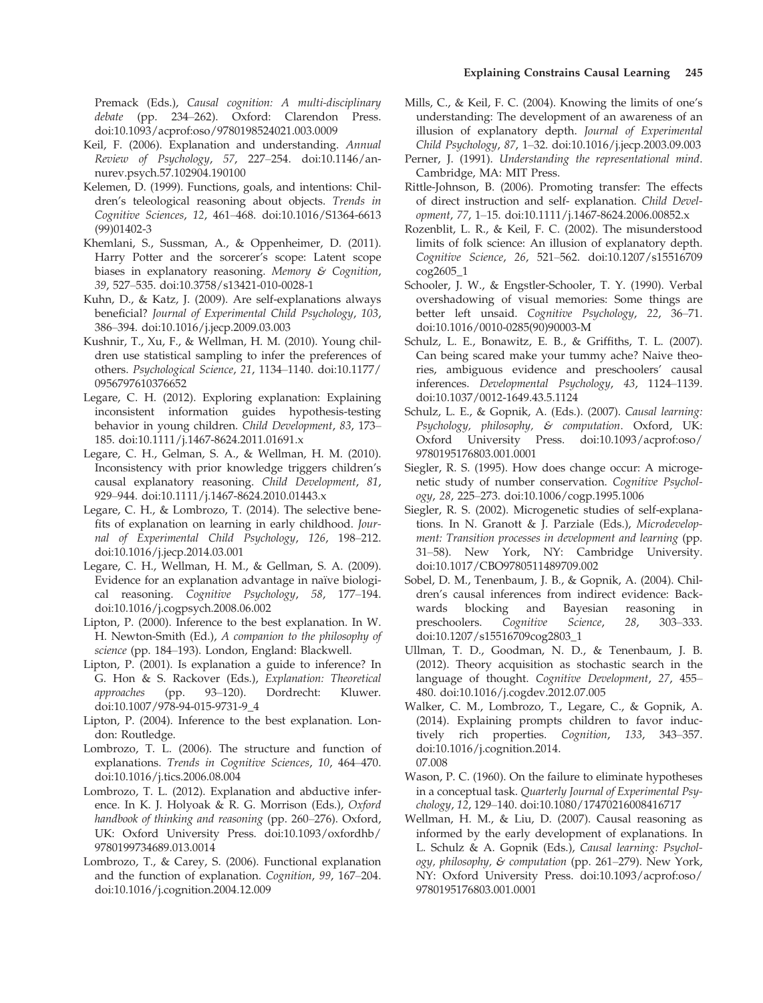#### Explaining Constrains Causal Learning 245

Premack (Eds.), Causal cognition: A multi-disciplinary debate (pp. 234–262). Oxford: Clarendon Press. doi[:10.1093/acprof:oso/9780198524021.003.0009](http://dx.doi.org/10.1093/acprof:oso/9780198524021.003.0009)

- Keil, F. (2006). Explanation and understanding. Annual Review of Psychology, 57, 227–254. doi:[10.1146/an](http://dx.doi.org/10.1146/annurev.psych.57.102904.190100)[nurev.psych.57.102904.190100](http://dx.doi.org/10.1146/annurev.psych.57.102904.190100)
- Kelemen, D. (1999). Functions, goals, and intentions: Children's teleological reasoning about objects. Trends in Cognitive Sciences, 12, 461–468. doi:[10.1016/S1364-6613](http://dx.doi.org/10.1016/S1364-6613(99)01402-3) [\(99\)01402-3](http://dx.doi.org/10.1016/S1364-6613(99)01402-3)
- Khemlani, S., Sussman, A., & Oppenheimer, D. (2011). Harry Potter and the sorcerer's scope: Latent scope biases in explanatory reasoning. Memory & Cognition, 39, 527–535. doi:[10.3758/s13421-010-0028-1](http://dx.doi.org/10.3758/s13421-010-0028-1)
- Kuhn, D., & Katz, J. (2009). Are self-explanations always beneficial? Journal of Experimental Child Psychology, 103, 386–394. doi:[10.1016/j.jecp.2009.03.003](http://dx.doi.org/10.1016/j.jecp.2009.03.003)
- Kushnir, T., Xu, F., & Wellman, H. M. (2010). Young children use statistical sampling to infer the preferences of others. Psychological Science, 21, 1134–1140. doi[:10.1177/](http://dx.doi.org/10.1177/0956797610376652) [0956797610376652](http://dx.doi.org/10.1177/0956797610376652)
- Legare, C. H. (2012). Exploring explanation: Explaining inconsistent information guides hypothesis-testing behavior in young children. Child Development, 83, 173– 185. doi:[10.1111/j.1467-8624.2011.01691.x](http://dx.doi.org/10.1111/j.1467-8624.2011.01691.x)
- Legare, C. H., Gelman, S. A., & Wellman, H. M. (2010). Inconsistency with prior knowledge triggers children's causal explanatory reasoning. Child Development, 81, 929–944. doi:[10.1111/j.1467-8624.2010.01443.x](http://dx.doi.org/10.1111/j.1467-8624.2010.01443.x)
- Legare, C. H., & Lombrozo, T. (2014). The selective benefits of explanation on learning in early childhood. Journal of Experimental Child Psychology, 126, 198–212. doi[:10.1016/j.jecp.2014.03.001](http://dx.doi.org/10.1016/j.jecp.2014.03.001)
- Legare, C. H., Wellman, H. M., & Gellman, S. A. (2009). Evidence for an explanation advantage in naïve biological reasoning. Cognitive Psychology, 58, 177–194. doi[:10.1016/j.cogpsych.2008.06.002](http://dx.doi.org/10.1016/j.cogpsych.2008.06.002)
- Lipton, P. (2000). Inference to the best explanation. In W. H. Newton-Smith (Ed.), A companion to the philosophy of science (pp. 184–193). London, England: Blackwell.
- Lipton, P. (2001). Is explanation a guide to inference? In G. Hon & S. Rackover (Eds.), Explanation: Theoretical approaches (pp. 93–120). Dordrecht: Kluwer. doi[:10.1007/978-94-015-9731-9\\_4](http://dx.doi.org/10.1007/978-94-015-9731-9_4)
- Lipton, P. (2004). Inference to the best explanation. London: Routledge.
- Lombrozo, T. L. (2006). The structure and function of explanations. Trends in Cognitive Sciences, 10, 464–470. doi[:10.1016/j.tics.2006.08.004](http://dx.doi.org/10.1016/j.tics.2006.08.004)
- Lombrozo, T. L. (2012). Explanation and abductive inference. In K. J. Holyoak & R. G. Morrison (Eds.), Oxford handbook of thinking and reasoning (pp. 260–276). Oxford, UK: Oxford University Press. doi[:10.1093/oxfordhb/](http://dx.doi.org/10.1093/oxfordhb/9780199734689.013.0014) [9780199734689.013.0014](http://dx.doi.org/10.1093/oxfordhb/9780199734689.013.0014)
- Lombrozo, T., & Carey, S. (2006). Functional explanation and the function of explanation. Cognition, 99, 167–204. doi[:10.1016/j.cognition.2004.12.009](http://dx.doi.org/10.1016/j.cognition.2004.12.009)
- Mills, C., & Keil, F. C. (2004). Knowing the limits of one's understanding: The development of an awareness of an illusion of explanatory depth. Journal of Experimental Child Psychology, 87, 1–32. doi:[10.1016/j.jecp.2003.09.003](http://dx.doi.org/10.1016/j.jecp.2003.09.003)
- Perner, J. (1991). Understanding the representational mind. Cambridge, MA: MIT Press.
- Rittle-Johnson, B. (2006). Promoting transfer: The effects of direct instruction and self- explanation. Child Development, 77, 1–15. doi[:10.1111/j.1467-8624.2006.00852.x](http://dx.doi.org/10.1111/j.1467-8624.2006.00852.x)
- Rozenblit, L. R., & Keil, F. C. (2002). The misunderstood limits of folk science: An illusion of explanatory depth. Cognitive Science, 26, 521–562. doi[:10.1207/s15516709](http://dx.doi.org/10.1207/s15516709cog2605_1) [cog2605\\_1](http://dx.doi.org/10.1207/s15516709cog2605_1)
- Schooler, J. W., & Engstler-Schooler, T. Y. (1990). Verbal overshadowing of visual memories: Some things are better left unsaid. Cognitive Psychology, 22, 36–71. doi:[10.1016/0010-0285\(90\)90003-M](http://dx.doi.org/10.1016/0010-0285(90)90003-M)
- Schulz, L. E., Bonawitz, E. B., & Griffiths, T. L. (2007). Can being scared make your tummy ache? Naive theories, ambiguous evidence and preschoolers' causal inferences. Developmental Psychology, 43, 1124–1139. doi:[10.1037/0012-1649.43.5.1124](http://dx.doi.org/10.1037/0012-1649.43.5.1124)
- Schulz, L. E., & Gopnik, A. (Eds.). (2007). Causal learning: Psychology, philosophy, & computation. Oxford, UK: Oxford University Press. doi:[10.1093/acprof:oso/](http://dx.doi.org/10.1093/acprof:oso/9780195176803.001.0001) [9780195176803.001.0001](http://dx.doi.org/10.1093/acprof:oso/9780195176803.001.0001)
- Siegler, R. S. (1995). How does change occur: A microgenetic study of number conservation. Cognitive Psychology, 28, 225–273. doi:[10.1006/cogp.1995.1006](http://dx.doi.org/10.1006/cogp.1995.1006)
- Siegler, R. S. (2002). Microgenetic studies of self-explanations. In N. Granott & J. Parziale (Eds.), Microdevelopment: Transition processes in development and learning (pp. 31–58). New York, NY: Cambridge University. doi:[10.1017/CBO9780511489709.002](http://dx.doi.org/10.1017/CBO9780511489709.002)
- Sobel, D. M., Tenenbaum, J. B., & Gopnik, A. (2004). Children's causal inferences from indirect evidence: Backwards blocking and Bayesian reasoning in<br>preschoolers. Cognitive Science, 28, 303–333. preschoolers. Cognitive doi:[10.1207/s15516709cog2803\\_1](http://dx.doi.org/10.1207/s15516709cog2803_1)
- Ullman, T. D., Goodman, N. D., & Tenenbaum, J. B. (2012). Theory acquisition as stochastic search in the language of thought. Cognitive Development, 27, 455– 480. doi:[10.1016/j.cogdev.2012.07.005](http://dx.doi.org/10.1016/j.cogdev.2012.07.005)
- Walker, C. M., Lombrozo, T., Legare, C., & Gopnik, A. (2014). Explaining prompts children to favor inductively rich properties. Cognition, 133, 343–357. doi:[10.1016/j.cognition.2014.](http://dx.doi.org/10.1016/j.cognition.2014.07.008) [07.008](http://dx.doi.org/10.1016/j.cognition.2014.07.008)
- Wason, P. C. (1960). On the failure to eliminate hypotheses in a conceptual task. Quarterly Journal of Experimental Psychology, 12, 129–140. doi[:10.1080/17470216008416717](http://dx.doi.org/10.1080/17470216008416717)
- Wellman, H. M., & Liu, D. (2007). Causal reasoning as informed by the early development of explanations. In L. Schulz & A. Gopnik (Eds.), Causal learning: Psychology, philosophy, & computation (pp. 261–279). New York, NY: Oxford University Press. doi:[10.1093/acprof:oso/](http://dx.doi.org/10.1093/acprof:oso/9780195176803.001.0001) [9780195176803.001.0001](http://dx.doi.org/10.1093/acprof:oso/9780195176803.001.0001)